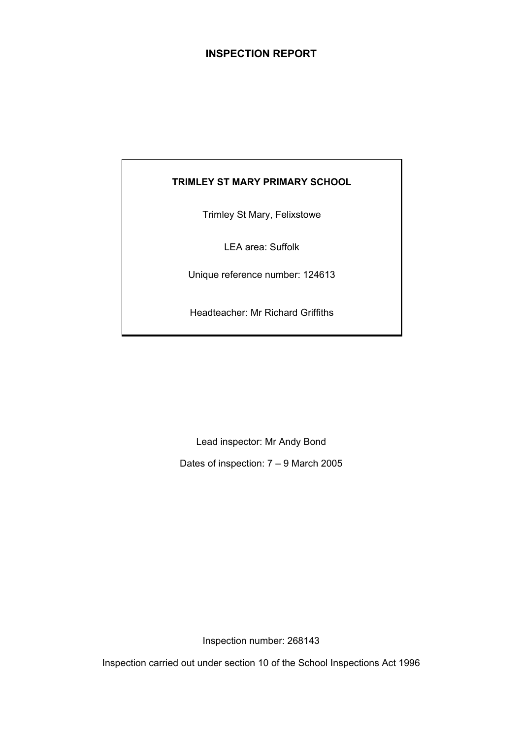# **INSPECTION REPORT**

# **TRIMLEY ST MARY PRIMARY SCHOOL**

Trimley St Mary, Felixstowe

LEA area: Suffolk

Unique reference number: 124613

Headteacher: Mr Richard Griffiths

Lead inspector: Mr Andy Bond

Dates of inspection: 7 – 9 March 2005

Inspection number: 268143

Inspection carried out under section 10 of the School Inspections Act 1996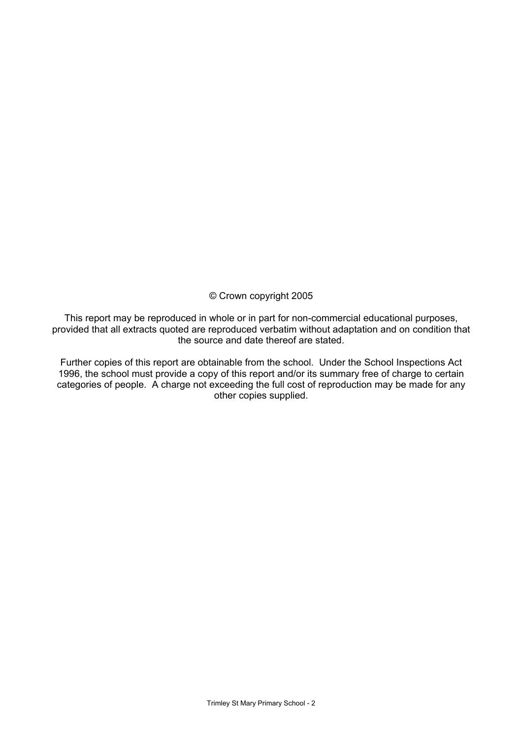© Crown copyright 2005

This report may be reproduced in whole or in part for non-commercial educational purposes, provided that all extracts quoted are reproduced verbatim without adaptation and on condition that the source and date thereof are stated.

Further copies of this report are obtainable from the school. Under the School Inspections Act 1996, the school must provide a copy of this report and/or its summary free of charge to certain categories of people. A charge not exceeding the full cost of reproduction may be made for any other copies supplied.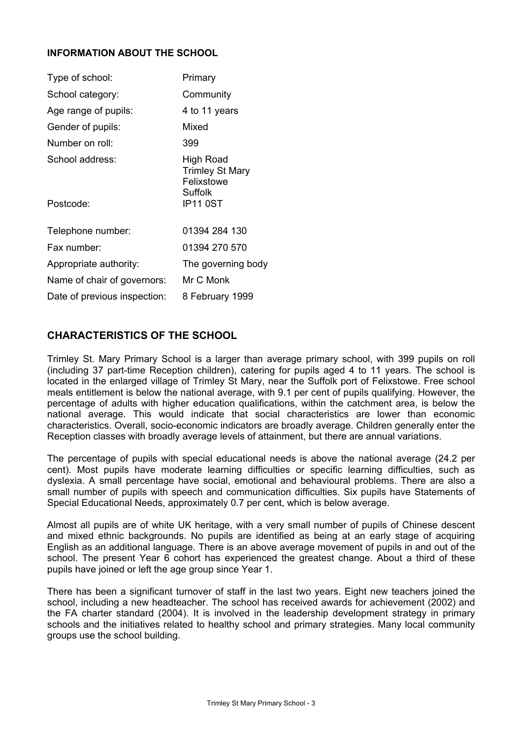## **INFORMATION ABOUT THE SCHOOL**

| Type of school:              | Primary                                                                         |
|------------------------------|---------------------------------------------------------------------------------|
| School category:             | Community                                                                       |
| Age range of pupils:         | 4 to 11 years                                                                   |
| Gender of pupils:            | Mixed                                                                           |
| Number on roll:              | 399                                                                             |
| School address:<br>Postcode: | High Road<br><b>Trimley St Mary</b><br>Felixstowe<br>Suffolk<br><b>IP11 0ST</b> |
|                              |                                                                                 |
| Telephone number:            | 01394 284 130                                                                   |
| Fax number:                  | 01394 270 570                                                                   |
| Appropriate authority:       | The governing body                                                              |
| Name of chair of governors:  | Mr C Monk                                                                       |
| Date of previous inspection: | 8 February 1999                                                                 |

# **CHARACTERISTICS OF THE SCHOOL**

Trimley St. Mary Primary School is a larger than average primary school, with 399 pupils on roll (including 37 part-time Reception children), catering for pupils aged 4 to 11 years. The school is located in the enlarged village of Trimley St Mary, near the Suffolk port of Felixstowe. Free school meals entitlement is below the national average, with 9.1 per cent of pupils qualifying. However, the percentage of adults with higher education qualifications, within the catchment area, is below the national average. This would indicate that social characteristics are lower than economic characteristics. Overall, socio-economic indicators are broadly average. Children generally enter the Reception classes with broadly average levels of attainment, but there are annual variations.

The percentage of pupils with special educational needs is above the national average (24.2 per cent). Most pupils have moderate learning difficulties or specific learning difficulties, such as dyslexia. A small percentage have social, emotional and behavioural problems. There are also a small number of pupils with speech and communication difficulties. Six pupils have Statements of Special Educational Needs, approximately 0.7 per cent, which is below average.

Almost all pupils are of white UK heritage, with a very small number of pupils of Chinese descent and mixed ethnic backgrounds. No pupils are identified as being at an early stage of acquiring English as an additional language. There is an above average movement of pupils in and out of the school. The present Year 6 cohort has experienced the greatest change. About a third of these pupils have joined or left the age group since Year 1.

There has been a significant turnover of staff in the last two years. Eight new teachers joined the school, including a new headteacher. The school has received awards for achievement (2002) and the FA charter standard (2004). It is involved in the leadership development strategy in primary schools and the initiatives related to healthy school and primary strategies. Many local community groups use the school building.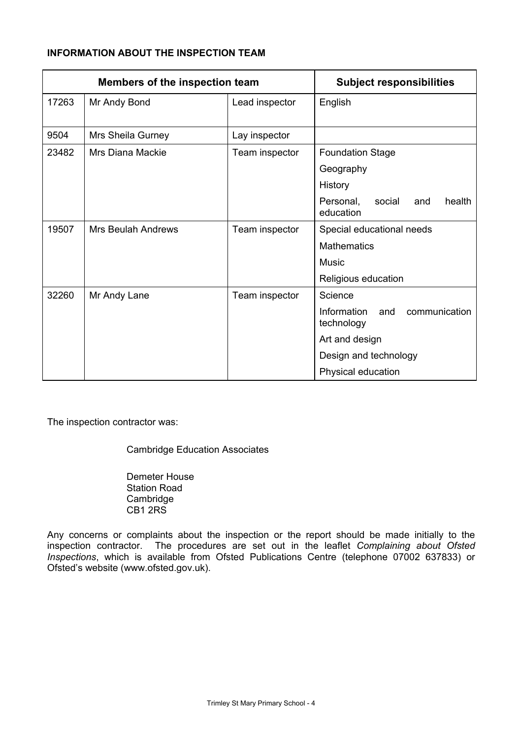# **INFORMATION ABOUT THE INSPECTION TEAM**

| Members of the inspection team |                    | <b>Subject responsibilities</b> |                                                   |
|--------------------------------|--------------------|---------------------------------|---------------------------------------------------|
| 17263                          | Mr Andy Bond       | Lead inspector                  | English                                           |
|                                |                    |                                 |                                                   |
| 9504                           | Mrs Sheila Gurney  | Lay inspector                   |                                                   |
| 23482                          | Mrs Diana Mackie   | Team inspector                  | <b>Foundation Stage</b>                           |
|                                |                    |                                 | Geography                                         |
|                                |                    |                                 | History                                           |
|                                |                    |                                 | Personal,<br>social<br>health<br>and<br>education |
| 19507                          | Mrs Beulah Andrews | Team inspector                  | Special educational needs                         |
|                                |                    |                                 | <b>Mathematics</b>                                |
|                                |                    |                                 | Music                                             |
|                                |                    |                                 | Religious education                               |
| 32260                          | Mr Andy Lane       | Team inspector                  | Science                                           |
|                                |                    |                                 | Information<br>communication<br>and<br>technology |
|                                |                    |                                 | Art and design                                    |
|                                |                    |                                 | Design and technology                             |
|                                |                    |                                 | Physical education                                |

The inspection contractor was:

Cambridge Education Associates

 Demeter House Station Road **Cambridge** CB1 2RS

Any concerns or complaints about the inspection or the report should be made initially to the inspection contractor. The procedures are set out in the leaflet *Complaining about Ofsted Inspections*, which is available from Ofsted Publications Centre (telephone 07002 637833) or Ofsted's website (www.ofsted.gov.uk).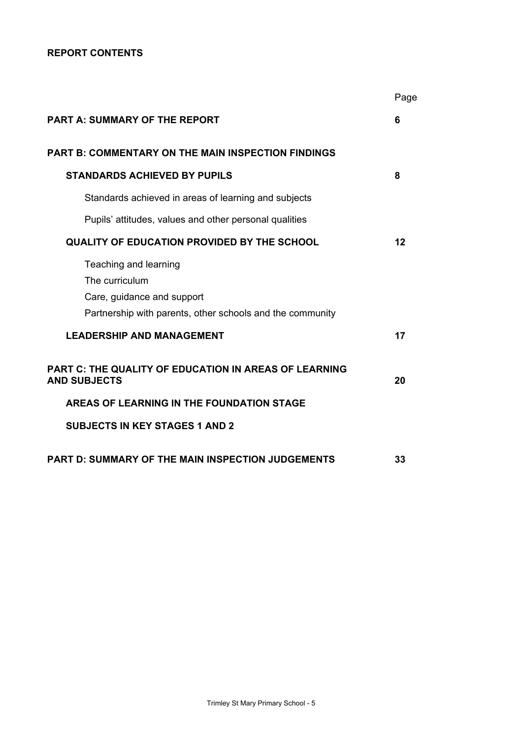# **REPORT CONTENTS**

|                                                                                                                                    | Page    |
|------------------------------------------------------------------------------------------------------------------------------------|---------|
| <b>PART A: SUMMARY OF THE REPORT</b>                                                                                               | 6       |
| <b>PART B: COMMENTARY ON THE MAIN INSPECTION FINDINGS</b>                                                                          |         |
| <b>STANDARDS ACHIEVED BY PUPILS</b>                                                                                                | 8       |
| Standards achieved in areas of learning and subjects                                                                               |         |
| Pupils' attitudes, values and other personal qualities                                                                             |         |
| <b>QUALITY OF EDUCATION PROVIDED BY THE SCHOOL</b>                                                                                 | $12 \,$ |
| Teaching and learning<br>The curriculum<br>Care, guidance and support<br>Partnership with parents, other schools and the community |         |
| <b>LEADERSHIP AND MANAGEMENT</b>                                                                                                   | 17      |
| <b>PART C: THE QUALITY OF EDUCATION IN AREAS OF LEARNING</b><br><b>AND SUBJECTS</b>                                                | 20      |
| AREAS OF LEARNING IN THE FOUNDATION STAGE                                                                                          |         |
| <b>SUBJECTS IN KEY STAGES 1 AND 2</b>                                                                                              |         |
| <b>PART D: SUMMARY OF THE MAIN INSPECTION JUDGEMENTS</b>                                                                           | 33      |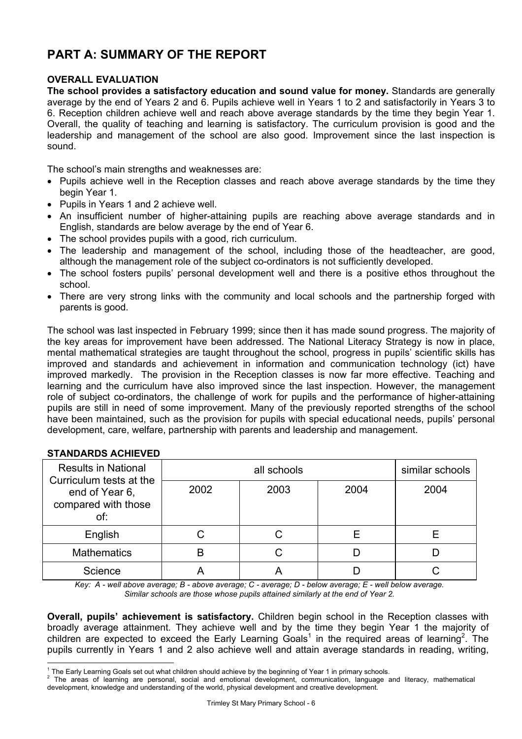# **PART A: SUMMARY OF THE REPORT**

## **OVERALL EVALUATION**

**The school provides a satisfactory education and sound value for money.** Standards are generally average by the end of Years 2 and 6. Pupils achieve well in Years 1 to 2 and satisfactorily in Years 3 to 6. Reception children achieve well and reach above average standards by the time they begin Year 1. Overall, the quality of teaching and learning is satisfactory. The curriculum provision is good and the leadership and management of the school are also good. Improvement since the last inspection is sound.

The school's main strengths and weaknesses are:

- Pupils achieve well in the Reception classes and reach above average standards by the time they begin Year 1.
- Pupils in Years 1 and 2 achieve well.
- An insufficient number of higher-attaining pupils are reaching above average standards and in English, standards are below average by the end of Year 6.
- The school provides pupils with a good, rich curriculum.
- The leadership and management of the school, including those of the headteacher, are good, although the management role of the subject co-ordinators is not sufficiently developed.
- The school fosters pupils' personal development well and there is a positive ethos throughout the school.
- There are very strong links with the community and local schools and the partnership forged with parents is good.

The school was last inspected in February 1999; since then it has made sound progress. The majority of the key areas for improvement have been addressed. The National Literacy Strategy is now in place, mental mathematical strategies are taught throughout the school, progress in pupils' scientific skills has improved and standards and achievement in information and communication technology (ict) have improved markedly. The provision in the Reception classes is now far more effective. Teaching and learning and the curriculum have also improved since the last inspection. However, the management role of subject co-ordinators, the challenge of work for pupils and the performance of higher-attaining pupils are still in need of some improvement. Many of the previously reported strengths of the school have been maintained, such as the provision for pupils with special educational needs, pupils' personal development, care, welfare, partnership with parents and leadership and management.

| <b>Results in National</b><br>Curriculum tests at the |      | all schools |      |      |  |  |
|-------------------------------------------------------|------|-------------|------|------|--|--|
| end of Year 6,<br>compared with those<br>of:          | 2002 | 2003        | 2004 | 2004 |  |  |
| English                                               |      |             |      |      |  |  |
| <b>Mathematics</b>                                    |      |             |      |      |  |  |
| Science                                               |      | P           |      |      |  |  |

#### **STANDARDS ACHIEVED**

l

*Key: A - well above average; B - above average; C - average; D - below average; E - well below average. Similar schools are those whose pupils attained similarly at the end of Year 2.* 

**Overall, pupils' achievement is satisfactory.** Children begin school in the Reception classes with broadly average attainment. They achieve well and by the time they begin Year 1 the majority of children are expected to exceed the Early Learning Goals<sup>1</sup> in the required areas of learning<sup>2</sup>. The pupils currently in Years 1 and 2 also achieve well and attain average standards in reading, writing,

<sup>&</sup>lt;sup>1</sup> The Early Learning Goals set out what children should achieve by the beginning of Year 1 in primary schools.

<sup>&</sup>lt;sup>1</sup> The Early Learning Goals set out what children should achieve by the beginning of Year 1 in primary schools.<br><sup>2</sup> The areas of learning are personal, social and emotional development, communication, language development, knowledge and understanding of the world, physical development and creative development.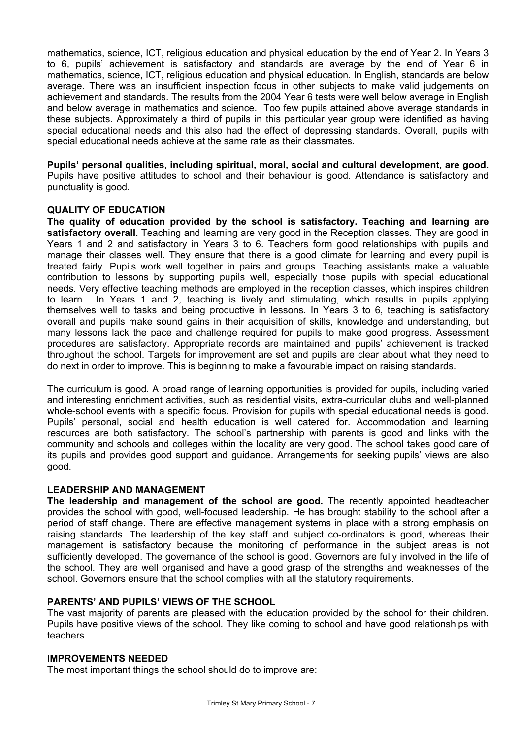mathematics, science, ICT, religious education and physical education by the end of Year 2. In Years 3 to 6, pupils' achievement is satisfactory and standards are average by the end of Year 6 in mathematics, science, ICT, religious education and physical education. In English, standards are below average. There was an insufficient inspection focus in other subjects to make valid judgements on achievement and standards. The results from the 2004 Year 6 tests were well below average in English and below average in mathematics and science. Too few pupils attained above average standards in these subjects. Approximately a third of pupils in this particular year group were identified as having special educational needs and this also had the effect of depressing standards. Overall, pupils with special educational needs achieve at the same rate as their classmates.

**Pupils' personal qualities, including spiritual, moral, social and cultural development, are good.**  Pupils have positive attitudes to school and their behaviour is good. Attendance is satisfactory and punctuality is good.

#### **QUALITY OF EDUCATION**

**The quality of education provided by the school is satisfactory. Teaching and learning are satisfactory overall.** Teaching and learning are very good in the Reception classes. They are good in Years 1 and 2 and satisfactory in Years 3 to 6. Teachers form good relationships with pupils and manage their classes well. They ensure that there is a good climate for learning and every pupil is treated fairly. Pupils work well together in pairs and groups. Teaching assistants make a valuable contribution to lessons by supporting pupils well, especially those pupils with special educational needs. Very effective teaching methods are employed in the reception classes, which inspires children to learn. In Years 1 and 2, teaching is lively and stimulating, which results in pupils applying themselves well to tasks and being productive in lessons. In Years 3 to 6, teaching is satisfactory overall and pupils make sound gains in their acquisition of skills, knowledge and understanding, but many lessons lack the pace and challenge required for pupils to make good progress. Assessment procedures are satisfactory. Appropriate records are maintained and pupils' achievement is tracked throughout the school. Targets for improvement are set and pupils are clear about what they need to do next in order to improve. This is beginning to make a favourable impact on raising standards.

The curriculum is good. A broad range of learning opportunities is provided for pupils, including varied and interesting enrichment activities, such as residential visits, extra-curricular clubs and well-planned whole-school events with a specific focus. Provision for pupils with special educational needs is good. Pupils' personal, social and health education is well catered for. Accommodation and learning resources are both satisfactory. The school's partnership with parents is good and links with the community and schools and colleges within the locality are very good. The school takes good care of its pupils and provides good support and guidance. Arrangements for seeking pupils' views are also good.

#### **LEADERSHIP AND MANAGEMENT**

**The leadership and management of the school are good.** The recently appointed headteacher provides the school with good, well-focused leadership. He has brought stability to the school after a period of staff change. There are effective management systems in place with a strong emphasis on raising standards. The leadership of the key staff and subject co-ordinators is good, whereas their management is satisfactory because the monitoring of performance in the subject areas is not sufficiently developed. The governance of the school is good. Governors are fully involved in the life of the school. They are well organised and have a good grasp of the strengths and weaknesses of the school. Governors ensure that the school complies with all the statutory requirements.

#### **PARENTS' AND PUPILS' VIEWS OF THE SCHOOL**

The vast majority of parents are pleased with the education provided by the school for their children. Pupils have positive views of the school. They like coming to school and have good relationships with teachers.

#### **IMPROVEMENTS NEEDED**

The most important things the school should do to improve are: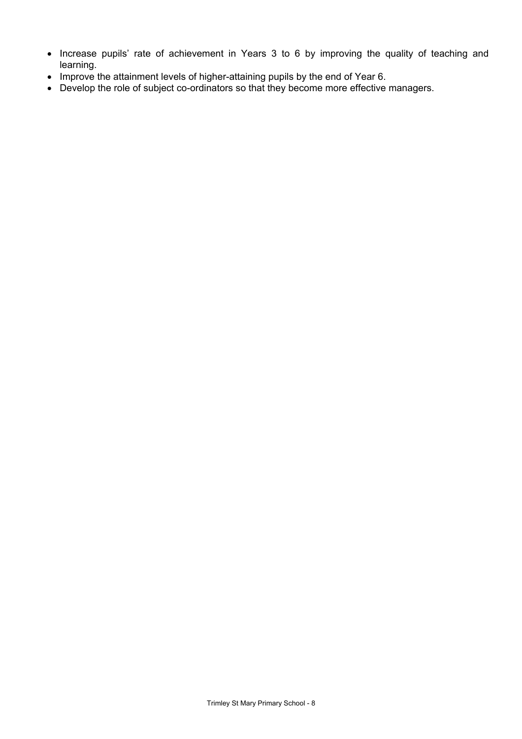- Increase pupils' rate of achievement in Years 3 to 6 by improving the quality of teaching and learning.
- Improve the attainment levels of higher-attaining pupils by the end of Year 6.
- Develop the role of subject co-ordinators so that they become more effective managers.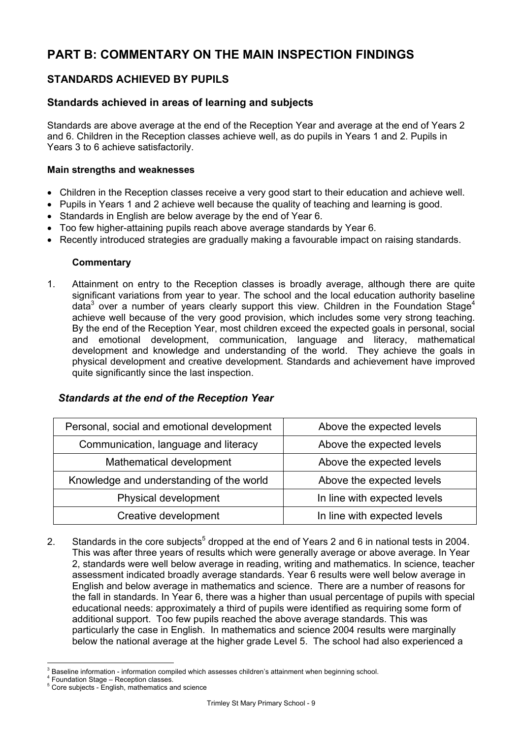# **PART B: COMMENTARY ON THE MAIN INSPECTION FINDINGS**

# **STANDARDS ACHIEVED BY PUPILS**

# **Standards achieved in areas of learning and subjects**

Standards are above average at the end of the Reception Year and average at the end of Years 2 and 6. Children in the Reception classes achieve well, as do pupils in Years 1 and 2. Pupils in Years 3 to 6 achieve satisfactorily.

#### **Main strengths and weaknesses**

- Children in the Reception classes receive a very good start to their education and achieve well.
- Pupils in Years 1 and 2 achieve well because the quality of teaching and learning is good.
- Standards in English are below average by the end of Year 6.
- Too few higher-attaining pupils reach above average standards by Year 6.
- Recently introduced strategies are gradually making a favourable impact on raising standards.

#### **Commentary**

1. Attainment on entry to the Reception classes is broadly average, although there are quite significant variations from year to year. The school and the local education authority baseline data<sup>3</sup> over a number of years clearly support this view. Children in the Foundation Stage<sup>4</sup> achieve well because of the very good provision, which includes some very strong teaching. By the end of the Reception Year, most children exceed the expected goals in personal, social and emotional development, communication, language and literacy, mathematical development and knowledge and understanding of the world. They achieve the goals in physical development and creative development. Standards and achievement have improved quite significantly since the last inspection.

#### *Standards at the end of the Reception Year*

| Personal, social and emotional development | Above the expected levels    |
|--------------------------------------------|------------------------------|
| Communication, language and literacy       | Above the expected levels    |
| Mathematical development                   | Above the expected levels    |
| Knowledge and understanding of the world   | Above the expected levels    |
| Physical development                       | In line with expected levels |
| Creative development                       | In line with expected levels |

2. Standards in the core subjects<sup>5</sup> dropped at the end of Years 2 and 6 in national tests in 2004. This was after three years of results which were generally average or above average. In Year 2, standards were well below average in reading, writing and mathematics. In science, teacher assessment indicated broadly average standards. Year 6 results were well below average in English and below average in mathematics and science. There are a number of reasons for the fall in standards. In Year 6, there was a higher than usual percentage of pupils with special educational needs: approximately a third of pupils were identified as requiring some form of additional support. Too few pupils reached the above average standards. This was particularly the case in English. In mathematics and science 2004 results were marginally below the national average at the higher grade Level 5. The school had also experienced a

l 3 Baseline information - information compiled which assesses children's attainment when beginning school. 4

Foundation Stage – Reception classes.

<sup>&</sup>lt;sup>5</sup> Core subjects - English, mathematics and science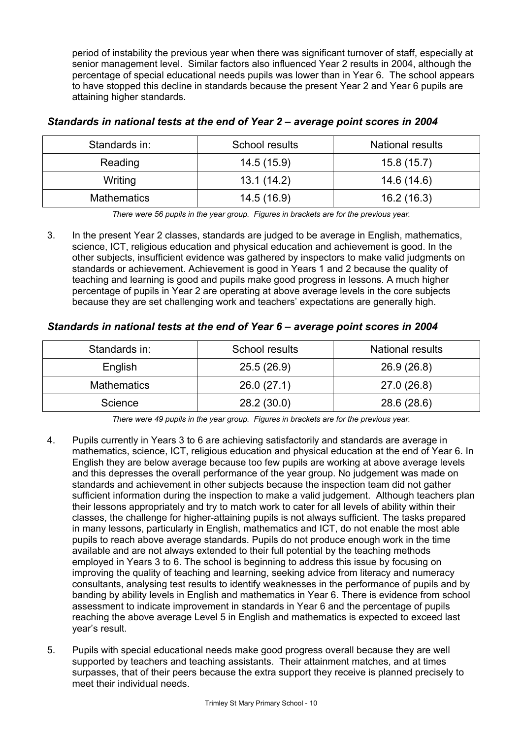period of instability the previous year when there was significant turnover of staff, especially at senior management level. Similar factors also influenced Year 2 results in 2004, although the percentage of special educational needs pupils was lower than in Year 6. The school appears to have stopped this decline in standards because the present Year 2 and Year 6 pupils are attaining higher standards.

| Standards in:      | School results | <b>National results</b> |
|--------------------|----------------|-------------------------|
| Reading            | 14.5(15.9)     | 15.8(15.7)              |
| Writing            | 13.1(14.2)     | 14.6 (14.6)             |
| <b>Mathematics</b> | 14.5(16.9)     | 16.2(16.3)              |

# *Standards in national tests at the end of Year 2 – average point scores in 2004*

*There were 56 pupils in the year group. Figures in brackets are for the previous year.* 

3. In the present Year 2 classes, standards are judged to be average in English, mathematics, science, ICT, religious education and physical education and achievement is good. In the other subjects, insufficient evidence was gathered by inspectors to make valid judgments on standards or achievement. Achievement is good in Years 1 and 2 because the quality of teaching and learning is good and pupils make good progress in lessons. A much higher percentage of pupils in Year 2 are operating at above average levels in the core subjects because they are set challenging work and teachers' expectations are generally high.

# *Standards in national tests at the end of Year 6 – average point scores in 2004*

| Standards in:      | School results | <b>National results</b> |
|--------------------|----------------|-------------------------|
| English            | 25.5(26.9)     | 26.9 (26.8)             |
| <b>Mathematics</b> | 26.0(27.1)     | 27.0 (26.8)             |
| Science            | 28.2 (30.0)    | 28.6 (28.6)             |

*There were 49 pupils in the year group. Figures in brackets are for the previous year.* 

- 4. Pupils currently in Years 3 to 6 are achieving satisfactorily and standards are average in mathematics, science, ICT, religious education and physical education at the end of Year 6. In English they are below average because too few pupils are working at above average levels and this depresses the overall performance of the year group. No judgement was made on standards and achievement in other subjects because the inspection team did not gather sufficient information during the inspection to make a valid judgement. Although teachers plan their lessons appropriately and try to match work to cater for all levels of ability within their classes, the challenge for higher-attaining pupils is not always sufficient. The tasks prepared in many lessons, particularly in English, mathematics and ICT, do not enable the most able pupils to reach above average standards. Pupils do not produce enough work in the time available and are not always extended to their full potential by the teaching methods employed in Years 3 to 6. The school is beginning to address this issue by focusing on improving the quality of teaching and learning, seeking advice from literacy and numeracy consultants, analysing test results to identify weaknesses in the performance of pupils and by banding by ability levels in English and mathematics in Year 6. There is evidence from school assessment to indicate improvement in standards in Year 6 and the percentage of pupils reaching the above average Level 5 in English and mathematics is expected to exceed last year's result.
- 5. Pupils with special educational needs make good progress overall because they are well supported by teachers and teaching assistants. Their attainment matches, and at times surpasses, that of their peers because the extra support they receive is planned precisely to meet their individual needs.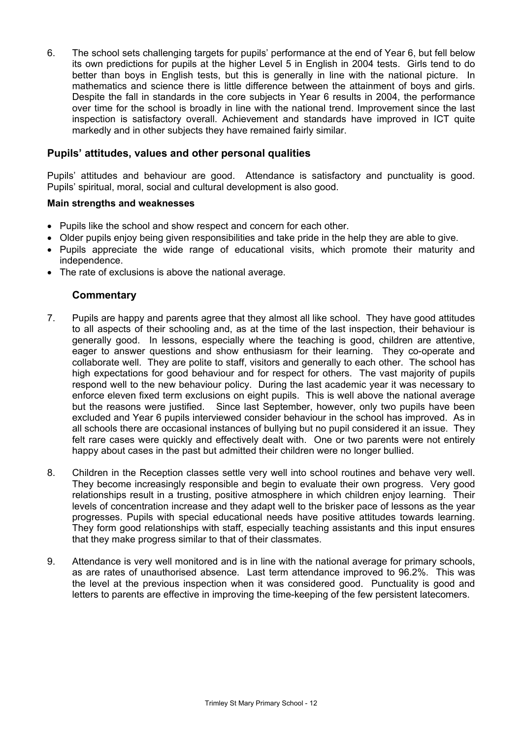6. The school sets challenging targets for pupils' performance at the end of Year 6, but fell below its own predictions for pupils at the higher Level 5 in English in 2004 tests. Girls tend to do better than boys in English tests, but this is generally in line with the national picture. In mathematics and science there is little difference between the attainment of boys and girls. Despite the fall in standards in the core subjects in Year 6 results in 2004, the performance over time for the school is broadly in line with the national trend. Improvement since the last inspection is satisfactory overall. Achievement and standards have improved in ICT quite markedly and in other subjects they have remained fairly similar.

#### **Pupils' attitudes, values and other personal qualities**

Pupils' attitudes and behaviour are good. Attendance is satisfactory and punctuality is good. Pupils' spiritual, moral, social and cultural development is also good.

#### **Main strengths and weaknesses**

- Pupils like the school and show respect and concern for each other.
- Older pupils enjoy being given responsibilities and take pride in the help they are able to give.
- Pupils appreciate the wide range of educational visits, which promote their maturity and independence.
- The rate of exclusions is above the national average.

- 7. Pupils are happy and parents agree that they almost all like school. They have good attitudes to all aspects of their schooling and, as at the time of the last inspection, their behaviour is generally good. In lessons, especially where the teaching is good, children are attentive, eager to answer questions and show enthusiasm for their learning. They co-operate and collaborate well. They are polite to staff, visitors and generally to each other. The school has high expectations for good behaviour and for respect for others. The vast majority of pupils respond well to the new behaviour policy. During the last academic year it was necessary to enforce eleven fixed term exclusions on eight pupils. This is well above the national average but the reasons were justified. Since last September, however, only two pupils have been excluded and Year 6 pupils interviewed consider behaviour in the school has improved. As in all schools there are occasional instances of bullying but no pupil considered it an issue. They felt rare cases were quickly and effectively dealt with. One or two parents were not entirely happy about cases in the past but admitted their children were no longer bullied.
- 8. Children in the Reception classes settle very well into school routines and behave very well. They become increasingly responsible and begin to evaluate their own progress. Very good relationships result in a trusting, positive atmosphere in which children enjoy learning. Their levels of concentration increase and they adapt well to the brisker pace of lessons as the year progresses. Pupils with special educational needs have positive attitudes towards learning. They form good relationships with staff, especially teaching assistants and this input ensures that they make progress similar to that of their classmates.
- 9. Attendance is very well monitored and is in line with the national average for primary schools, as are rates of unauthorised absence. Last term attendance improved to 96.2%. This was the level at the previous inspection when it was considered good. Punctuality is good and letters to parents are effective in improving the time-keeping of the few persistent latecomers.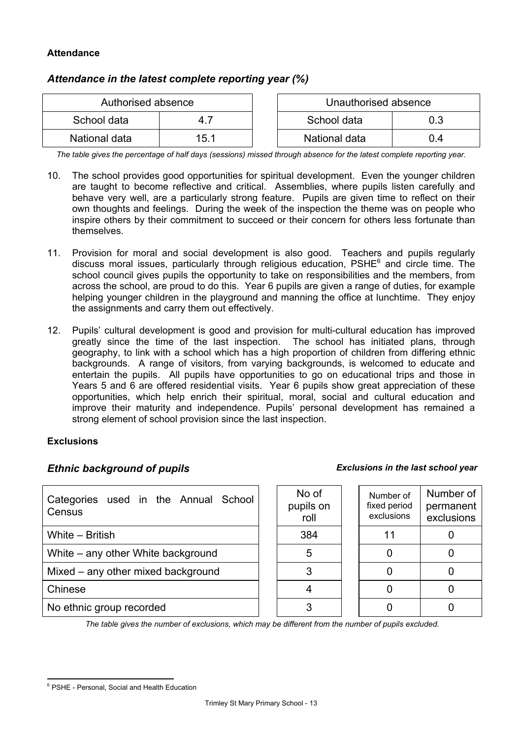# **Attendance**

# *Attendance in the latest complete reporting year (%)*

| Authorised absence |      |  | Unauthorised absence |     |  |
|--------------------|------|--|----------------------|-----|--|
| School data        |      |  | School data<br>0.3   |     |  |
| National data      | 15.1 |  | National data        | 0.4 |  |

*The table gives the percentage of half days (sessions) missed through absence for the latest complete reporting year.*

- 10. The school provides good opportunities for spiritual development. Even the younger children are taught to become reflective and critical. Assemblies, where pupils listen carefully and behave very well, are a particularly strong feature. Pupils are given time to reflect on their own thoughts and feelings. During the week of the inspection the theme was on people who inspire others by their commitment to succeed or their concern for others less fortunate than themselves.
- 11. Provision for moral and social development is also good. Teachers and pupils regularly discuss moral issues, particularly through religious education, PSHE<sup>6</sup> and circle time. The school council gives pupils the opportunity to take on responsibilities and the members, from across the school, are proud to do this. Year 6 pupils are given a range of duties, for example helping younger children in the playground and manning the office at lunchtime. They enjoy the assignments and carry them out effectively.
- 12. Pupils' cultural development is good and provision for multi-cultural education has improved greatly since the time of the last inspection. The school has initiated plans, through geography, to link with a school which has a high proportion of children from differing ethnic backgrounds. A range of visitors, from varying backgrounds, is welcomed to educate and entertain the pupils. All pupils have opportunities to go on educational trips and those in Years 5 and 6 are offered residential visits. Year 6 pupils show great appreciation of these opportunities, which help enrich their spiritual, moral, social and cultural education and improve their maturity and independence. Pupils' personal development has remained a strong element of school provision since the last inspection.

#### **Exclusions**

# *Ethnic background of pupils Exclusions in the last school year*

| Categories used in the Annual School<br>Census | No of<br>pupils on<br>roll | Number of<br>fixed period<br>exclusions | Number of<br>permanent<br>exclusions |
|------------------------------------------------|----------------------------|-----------------------------------------|--------------------------------------|
| White - British                                | 384                        |                                         |                                      |
| White – any other White background             |                            |                                         |                                      |
| Mixed – any other mixed background             |                            |                                         |                                      |
| Chinese                                        |                            |                                         |                                      |
| No ethnic group recorded                       |                            |                                         |                                      |

*The table gives the number of exclusions, which may be different from the number of pupils excluded.*

l <sup>6</sup> PSHE - Personal, Social and Health Education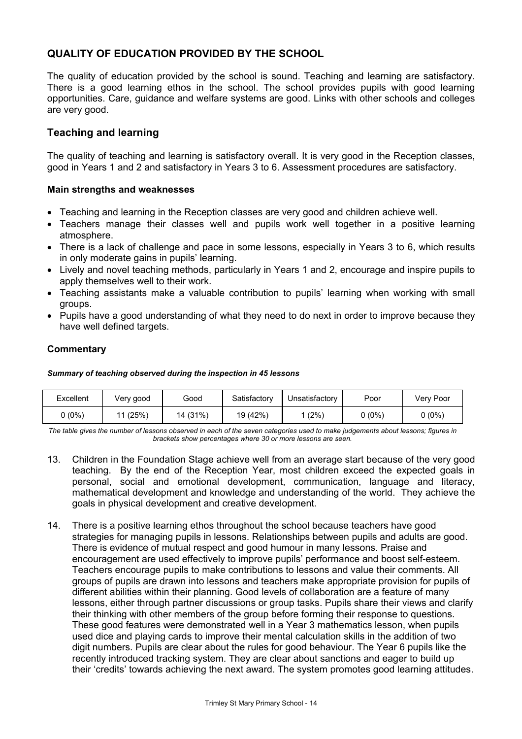# **QUALITY OF EDUCATION PROVIDED BY THE SCHOOL**

The quality of education provided by the school is sound. Teaching and learning are satisfactory. There is a good learning ethos in the school. The school provides pupils with good learning opportunities. Care, guidance and welfare systems are good. Links with other schools and colleges are very good.

# **Teaching and learning**

The quality of teaching and learning is satisfactory overall. It is very good in the Reception classes, good in Years 1 and 2 and satisfactory in Years 3 to 6. Assessment procedures are satisfactory.

#### **Main strengths and weaknesses**

- Teaching and learning in the Reception classes are very good and children achieve well.
- Teachers manage their classes well and pupils work well together in a positive learning atmosphere.
- There is a lack of challenge and pace in some lessons, especially in Years 3 to 6, which results in only moderate gains in pupils' learning.
- Lively and novel teaching methods, particularly in Years 1 and 2, encourage and inspire pupils to apply themselves well to their work.
- Teaching assistants make a valuable contribution to pupils' learning when working with small groups.
- Pupils have a good understanding of what they need to do next in order to improve because they have well defined targets.

#### **Commentary**

#### *Summary of teaching observed during the inspection in 45 lessons*

| Excellent | Very good | Good     | Satisfactory | Unsatisfactory | Poor   | Very Poor |
|-----------|-----------|----------|--------------|----------------|--------|-----------|
| ს (0%)    | 11(25%)   | 14 (31%) | 19 (42%)     | (2%)           | J (0%) | $0(0\%)$  |

*The table gives the number of lessons observed in each of the seven categories used to make judgements about lessons; figures in brackets show percentages where 30 or more lessons are seen.* 

- 13. Children in the Foundation Stage achieve well from an average start because of the very good teaching. By the end of the Reception Year, most children exceed the expected goals in personal, social and emotional development, communication, language and literacy, mathematical development and knowledge and understanding of the world. They achieve the goals in physical development and creative development.
- 14. There is a positive learning ethos throughout the school because teachers have good strategies for managing pupils in lessons. Relationships between pupils and adults are good. There is evidence of mutual respect and good humour in many lessons. Praise and encouragement are used effectively to improve pupils' performance and boost self-esteem. Teachers encourage pupils to make contributions to lessons and value their comments. All groups of pupils are drawn into lessons and teachers make appropriate provision for pupils of different abilities within their planning. Good levels of collaboration are a feature of many lessons, either through partner discussions or group tasks. Pupils share their views and clarify their thinking with other members of the group before forming their response to questions. These good features were demonstrated well in a Year 3 mathematics lesson, when pupils used dice and playing cards to improve their mental calculation skills in the addition of two digit numbers. Pupils are clear about the rules for good behaviour. The Year 6 pupils like the recently introduced tracking system. They are clear about sanctions and eager to build up their 'credits' towards achieving the next award. The system promotes good learning attitudes.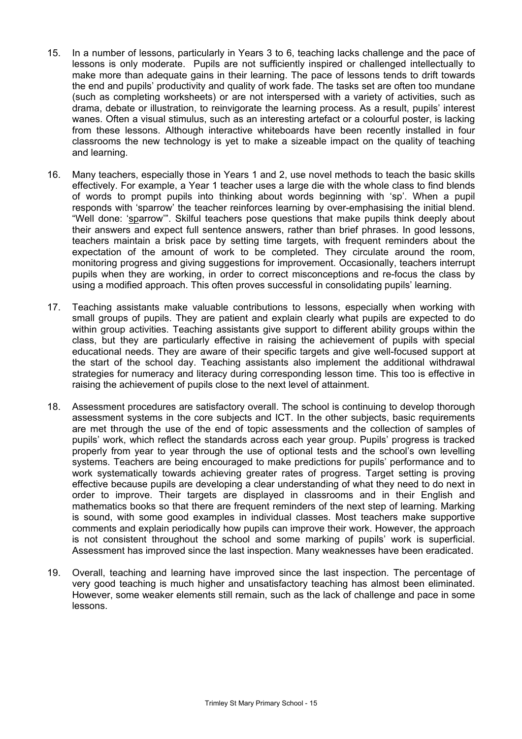- 15. In a number of lessons, particularly in Years 3 to 6, teaching lacks challenge and the pace of lessons is only moderate. Pupils are not sufficiently inspired or challenged intellectually to make more than adequate gains in their learning. The pace of lessons tends to drift towards the end and pupils' productivity and quality of work fade. The tasks set are often too mundane (such as completing worksheets) or are not interspersed with a variety of activities, such as drama, debate or illustration, to reinvigorate the learning process. As a result, pupils' interest wanes. Often a visual stimulus, such as an interesting artefact or a colourful poster, is lacking from these lessons. Although interactive whiteboards have been recently installed in four classrooms the new technology is yet to make a sizeable impact on the quality of teaching and learning.
- 16. Many teachers, especially those in Years 1 and 2, use novel methods to teach the basic skills effectively. For example, a Year 1 teacher uses a large die with the whole class to find blends of words to prompt pupils into thinking about words beginning with 'sp'. When a pupil responds with 'sparrow' the teacher reinforces learning by over-emphasising the initial blend. "Well done: 'sparrow'". Skilful teachers pose questions that make pupils think deeply about their answers and expect full sentence answers, rather than brief phrases. In good lessons, teachers maintain a brisk pace by setting time targets, with frequent reminders about the expectation of the amount of work to be completed. They circulate around the room, monitoring progress and giving suggestions for improvement. Occasionally, teachers interrupt pupils when they are working, in order to correct misconceptions and re-focus the class by using a modified approach. This often proves successful in consolidating pupils' learning.
- 17. Teaching assistants make valuable contributions to lessons, especially when working with small groups of pupils. They are patient and explain clearly what pupils are expected to do within group activities. Teaching assistants give support to different ability groups within the class, but they are particularly effective in raising the achievement of pupils with special educational needs. They are aware of their specific targets and give well-focused support at the start of the school day. Teaching assistants also implement the additional withdrawal strategies for numeracy and literacy during corresponding lesson time. This too is effective in raising the achievement of pupils close to the next level of attainment.
- 18. Assessment procedures are satisfactory overall. The school is continuing to develop thorough assessment systems in the core subjects and ICT. In the other subjects, basic requirements are met through the use of the end of topic assessments and the collection of samples of pupils' work, which reflect the standards across each year group. Pupils' progress is tracked properly from year to year through the use of optional tests and the school's own levelling systems. Teachers are being encouraged to make predictions for pupils' performance and to work systematically towards achieving greater rates of progress. Target setting is proving effective because pupils are developing a clear understanding of what they need to do next in order to improve. Their targets are displayed in classrooms and in their English and mathematics books so that there are frequent reminders of the next step of learning. Marking is sound, with some good examples in individual classes. Most teachers make supportive comments and explain periodically how pupils can improve their work. However, the approach is not consistent throughout the school and some marking of pupils' work is superficial. Assessment has improved since the last inspection. Many weaknesses have been eradicated.
- 19. Overall, teaching and learning have improved since the last inspection. The percentage of very good teaching is much higher and unsatisfactory teaching has almost been eliminated. However, some weaker elements still remain, such as the lack of challenge and pace in some lessons.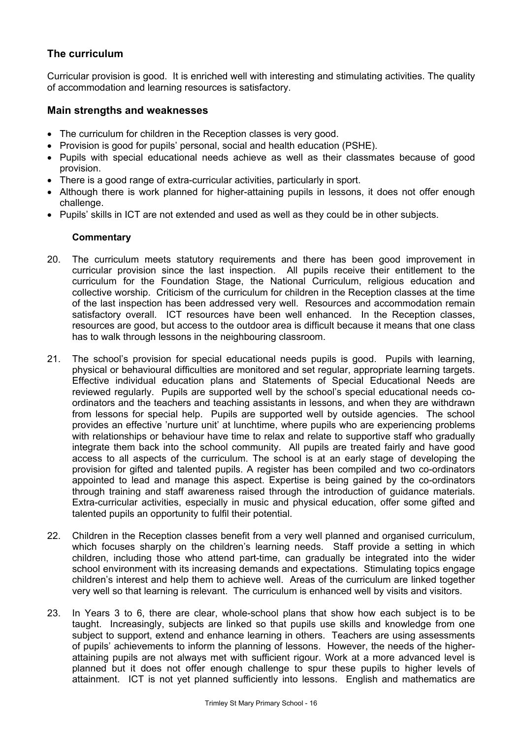# **The curriculum**

Curricular provision is good. It is enriched well with interesting and stimulating activities. The quality of accommodation and learning resources is satisfactory.

### **Main strengths and weaknesses**

- The curriculum for children in the Reception classes is very good.
- Provision is good for pupils' personal, social and health education (PSHE).
- Pupils with special educational needs achieve as well as their classmates because of good provision.
- There is a good range of extra-curricular activities, particularly in sport.
- Although there is work planned for higher-attaining pupils in lessons, it does not offer enough challenge.
- Pupils' skills in ICT are not extended and used as well as they could be in other subjects.

- 20. The curriculum meets statutory requirements and there has been good improvement in curricular provision since the last inspection. All pupils receive their entitlement to the curriculum for the Foundation Stage, the National Curriculum, religious education and collective worship. Criticism of the curriculum for children in the Reception classes at the time of the last inspection has been addressed very well. Resources and accommodation remain satisfactory overall. ICT resources have been well enhanced. In the Reception classes, resources are good, but access to the outdoor area is difficult because it means that one class has to walk through lessons in the neighbouring classroom.
- 21. The school's provision for special educational needs pupils is good. Pupils with learning, physical or behavioural difficulties are monitored and set regular, appropriate learning targets. Effective individual education plans and Statements of Special Educational Needs are reviewed regularly. Pupils are supported well by the school's special educational needs coordinators and the teachers and teaching assistants in lessons, and when they are withdrawn from lessons for special help. Pupils are supported well by outside agencies. The school provides an effective 'nurture unit' at lunchtime, where pupils who are experiencing problems with relationships or behaviour have time to relax and relate to supportive staff who gradually integrate them back into the school community. All pupils are treated fairly and have good access to all aspects of the curriculum. The school is at an early stage of developing the provision for gifted and talented pupils. A register has been compiled and two co-ordinators appointed to lead and manage this aspect. Expertise is being gained by the co-ordinators through training and staff awareness raised through the introduction of guidance materials. Extra-curricular activities, especially in music and physical education, offer some gifted and talented pupils an opportunity to fulfil their potential.
- 22. Children in the Reception classes benefit from a very well planned and organised curriculum, which focuses sharply on the children's learning needs. Staff provide a setting in which children, including those who attend part-time, can gradually be integrated into the wider school environment with its increasing demands and expectations. Stimulating topics engage children's interest and help them to achieve well. Areas of the curriculum are linked together very well so that learning is relevant. The curriculum is enhanced well by visits and visitors.
- 23. In Years 3 to 6, there are clear, whole-school plans that show how each subject is to be taught. Increasingly, subjects are linked so that pupils use skills and knowledge from one subject to support, extend and enhance learning in others. Teachers are using assessments of pupils' achievements to inform the planning of lessons. However, the needs of the higherattaining pupils are not always met with sufficient rigour. Work at a more advanced level is planned but it does not offer enough challenge to spur these pupils to higher levels of attainment. ICT is not yet planned sufficiently into lessons. English and mathematics are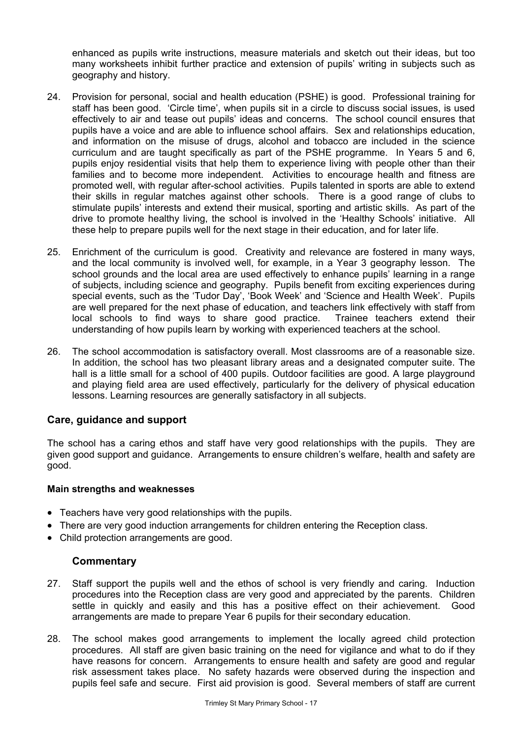enhanced as pupils write instructions, measure materials and sketch out their ideas, but too many worksheets inhibit further practice and extension of pupils' writing in subjects such as geography and history.

- 24. Provision for personal, social and health education (PSHE) is good. Professional training for staff has been good. 'Circle time', when pupils sit in a circle to discuss social issues, is used effectively to air and tease out pupils' ideas and concerns. The school council ensures that pupils have a voice and are able to influence school affairs. Sex and relationships education, and information on the misuse of drugs, alcohol and tobacco are included in the science curriculum and are taught specifically as part of the PSHE programme. In Years 5 and 6, pupils enjoy residential visits that help them to experience living with people other than their families and to become more independent. Activities to encourage health and fitness are promoted well, with regular after-school activities. Pupils talented in sports are able to extend their skills in regular matches against other schools. There is a good range of clubs to stimulate pupils' interests and extend their musical, sporting and artistic skills. As part of the drive to promote healthy living, the school is involved in the 'Healthy Schools' initiative. All these help to prepare pupils well for the next stage in their education, and for later life.
- 25. Enrichment of the curriculum is good. Creativity and relevance are fostered in many ways, and the local community is involved well, for example, in a Year 3 geography lesson. The school grounds and the local area are used effectively to enhance pupils' learning in a range of subjects, including science and geography. Pupils benefit from exciting experiences during special events, such as the 'Tudor Day', 'Book Week' and 'Science and Health Week'. Pupils are well prepared for the next phase of education, and teachers link effectively with staff from local schools to find ways to share good practice. Trainee teachers extend their understanding of how pupils learn by working with experienced teachers at the school.
- 26. The school accommodation is satisfactory overall. Most classrooms are of a reasonable size. In addition, the school has two pleasant library areas and a designated computer suite. The hall is a little small for a school of 400 pupils. Outdoor facilities are good. A large playground and playing field area are used effectively, particularly for the delivery of physical education lessons. Learning resources are generally satisfactory in all subjects.

# **Care, guidance and support**

The school has a caring ethos and staff have very good relationships with the pupils. They are given good support and guidance. Arrangements to ensure children's welfare, health and safety are good.

#### **Main strengths and weaknesses**

- Teachers have very good relationships with the pupils.
- There are very good induction arrangements for children entering the Reception class.
- Child protection arrangements are good.

- 27. Staff support the pupils well and the ethos of school is very friendly and caring. Induction procedures into the Reception class are very good and appreciated by the parents. Children settle in quickly and easily and this has a positive effect on their achievement. Good arrangements are made to prepare Year 6 pupils for their secondary education.
- 28. The school makes good arrangements to implement the locally agreed child protection procedures. All staff are given basic training on the need for vigilance and what to do if they have reasons for concern. Arrangements to ensure health and safety are good and regular risk assessment takes place. No safety hazards were observed during the inspection and pupils feel safe and secure. First aid provision is good. Several members of staff are current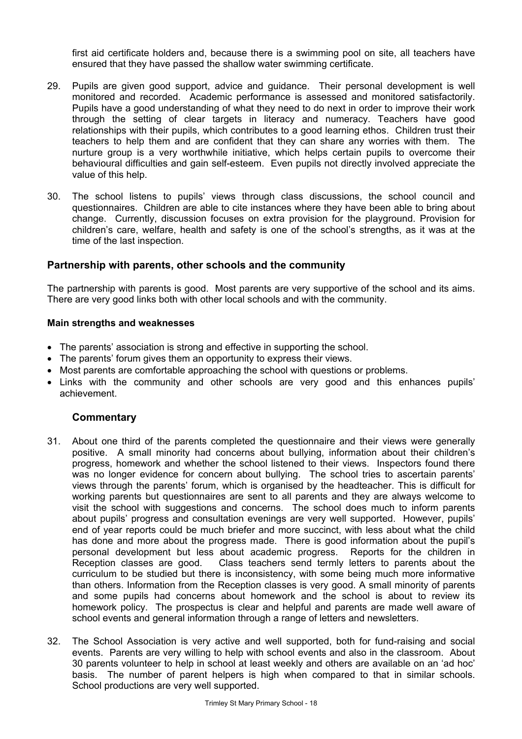first aid certificate holders and, because there is a swimming pool on site, all teachers have ensured that they have passed the shallow water swimming certificate.

- 29. Pupils are given good support, advice and guidance. Their personal development is well monitored and recorded. Academic performance is assessed and monitored satisfactorily. Pupils have a good understanding of what they need to do next in order to improve their work through the setting of clear targets in literacy and numeracy. Teachers have good relationships with their pupils, which contributes to a good learning ethos. Children trust their teachers to help them and are confident that they can share any worries with them. The nurture group is a very worthwhile initiative, which helps certain pupils to overcome their behavioural difficulties and gain self-esteem. Even pupils not directly involved appreciate the value of this help.
- 30. The school listens to pupils' views through class discussions, the school council and questionnaires. Children are able to cite instances where they have been able to bring about change. Currently, discussion focuses on extra provision for the playground. Provision for children's care, welfare, health and safety is one of the school's strengths, as it was at the time of the last inspection.

# **Partnership with parents, other schools and the community**

The partnership with parents is good. Most parents are very supportive of the school and its aims. There are very good links both with other local schools and with the community.

#### **Main strengths and weaknesses**

- The parents' association is strong and effective in supporting the school.
- The parents' forum gives them an opportunity to express their views.
- Most parents are comfortable approaching the school with questions or problems.
- Links with the community and other schools are very good and this enhances pupils' achievement.

- 31. About one third of the parents completed the questionnaire and their views were generally positive. A small minority had concerns about bullying, information about their children's progress, homework and whether the school listened to their views. Inspectors found there was no longer evidence for concern about bullying. The school tries to ascertain parents' views through the parents' forum, which is organised by the headteacher. This is difficult for working parents but questionnaires are sent to all parents and they are always welcome to visit the school with suggestions and concerns. The school does much to inform parents about pupils' progress and consultation evenings are very well supported. However, pupils' end of year reports could be much briefer and more succinct, with less about what the child has done and more about the progress made. There is good information about the pupil's personal development but less about academic progress. Reports for the children in Reception classes are good. Class teachers send termly letters to parents about the curriculum to be studied but there is inconsistency, with some being much more informative than others. Information from the Reception classes is very good. A small minority of parents and some pupils had concerns about homework and the school is about to review its homework policy. The prospectus is clear and helpful and parents are made well aware of school events and general information through a range of letters and newsletters.
- 32. The School Association is very active and well supported, both for fund-raising and social events. Parents are very willing to help with school events and also in the classroom. About 30 parents volunteer to help in school at least weekly and others are available on an 'ad hoc' basis. The number of parent helpers is high when compared to that in similar schools. School productions are very well supported.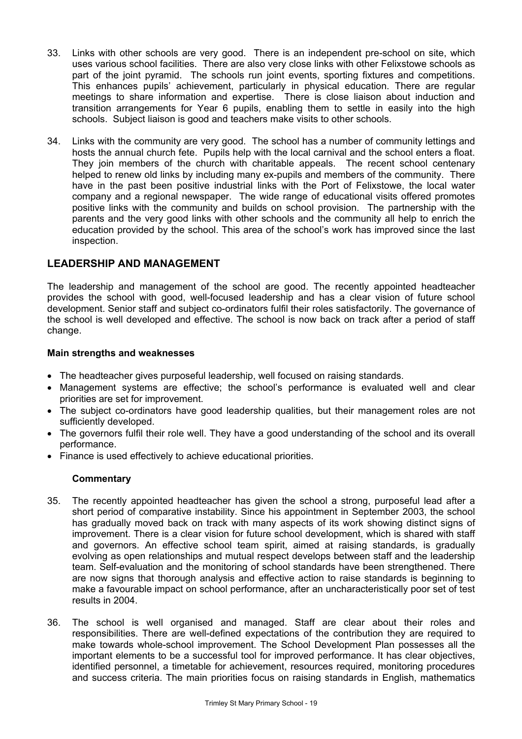- 33. Links with other schools are very good. There is an independent pre-school on site, which uses various school facilities. There are also very close links with other Felixstowe schools as part of the joint pyramid. The schools run joint events, sporting fixtures and competitions. This enhances pupils' achievement, particularly in physical education. There are regular meetings to share information and expertise. There is close liaison about induction and transition arrangements for Year 6 pupils, enabling them to settle in easily into the high schools. Subject liaison is good and teachers make visits to other schools.
- 34. Links with the community are very good. The school has a number of community lettings and hosts the annual church fete. Pupils help with the local carnival and the school enters a float. They join members of the church with charitable appeals. The recent school centenary helped to renew old links by including many ex-pupils and members of the community. There have in the past been positive industrial links with the Port of Felixstowe, the local water company and a regional newspaper. The wide range of educational visits offered promotes positive links with the community and builds on school provision. The partnership with the parents and the very good links with other schools and the community all help to enrich the education provided by the school. This area of the school's work has improved since the last inspection.

# **LEADERSHIP AND MANAGEMENT**

The leadership and management of the school are good. The recently appointed headteacher provides the school with good, well-focused leadership and has a clear vision of future school development. Senior staff and subject co-ordinators fulfil their roles satisfactorily. The governance of the school is well developed and effective. The school is now back on track after a period of staff change.

# **Main strengths and weaknesses**

- The headteacher gives purposeful leadership, well focused on raising standards.
- Management systems are effective; the school's performance is evaluated well and clear priorities are set for improvement.
- The subject co-ordinators have good leadership qualities, but their management roles are not sufficiently developed.
- The governors fulfil their role well. They have a good understanding of the school and its overall performance.
- Finance is used effectively to achieve educational priorities.

- 35. The recently appointed headteacher has given the school a strong, purposeful lead after a short period of comparative instability. Since his appointment in September 2003, the school has gradually moved back on track with many aspects of its work showing distinct signs of improvement. There is a clear vision for future school development, which is shared with staff and governors. An effective school team spirit, aimed at raising standards, is gradually evolving as open relationships and mutual respect develops between staff and the leadership team. Self-evaluation and the monitoring of school standards have been strengthened. There are now signs that thorough analysis and effective action to raise standards is beginning to make a favourable impact on school performance, after an uncharacteristically poor set of test results in 2004.
- 36. The school is well organised and managed. Staff are clear about their roles and responsibilities. There are well-defined expectations of the contribution they are required to make towards whole-school improvement. The School Development Plan possesses all the important elements to be a successful tool for improved performance. It has clear objectives, identified personnel, a timetable for achievement, resources required, monitoring procedures and success criteria. The main priorities focus on raising standards in English, mathematics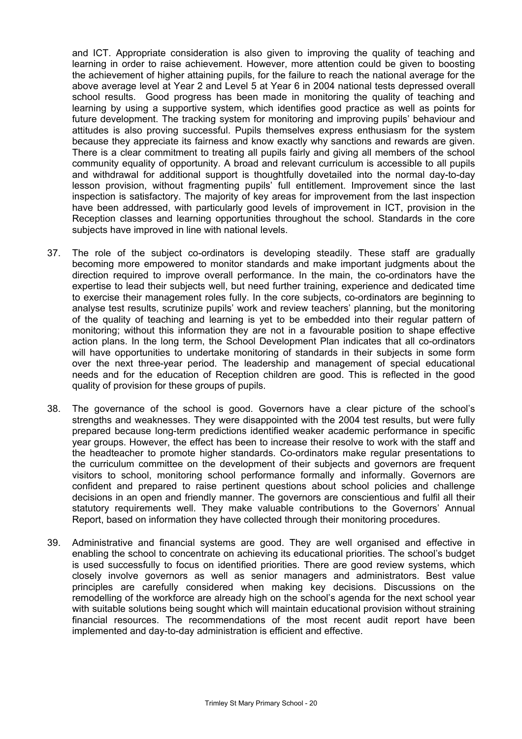and ICT. Appropriate consideration is also given to improving the quality of teaching and learning in order to raise achievement. However, more attention could be given to boosting the achievement of higher attaining pupils, for the failure to reach the national average for the above average level at Year 2 and Level 5 at Year 6 in 2004 national tests depressed overall school results. Good progress has been made in monitoring the quality of teaching and learning by using a supportive system, which identifies good practice as well as points for future development. The tracking system for monitoring and improving pupils' behaviour and attitudes is also proving successful. Pupils themselves express enthusiasm for the system because they appreciate its fairness and know exactly why sanctions and rewards are given. There is a clear commitment to treating all pupils fairly and giving all members of the school community equality of opportunity. A broad and relevant curriculum is accessible to all pupils and withdrawal for additional support is thoughtfully dovetailed into the normal day-to-day lesson provision, without fragmenting pupils' full entitlement. Improvement since the last inspection is satisfactory. The majority of key areas for improvement from the last inspection have been addressed, with particularly good levels of improvement in ICT, provision in the Reception classes and learning opportunities throughout the school. Standards in the core subjects have improved in line with national levels.

- 37. The role of the subject co-ordinators is developing steadily. These staff are gradually becoming more empowered to monitor standards and make important judgments about the direction required to improve overall performance. In the main, the co-ordinators have the expertise to lead their subjects well, but need further training, experience and dedicated time to exercise their management roles fully. In the core subjects, co-ordinators are beginning to analyse test results, scrutinize pupils' work and review teachers' planning, but the monitoring of the quality of teaching and learning is yet to be embedded into their regular pattern of monitoring; without this information they are not in a favourable position to shape effective action plans. In the long term, the School Development Plan indicates that all co-ordinators will have opportunities to undertake monitoring of standards in their subjects in some form over the next three-year period. The leadership and management of special educational needs and for the education of Reception children are good. This is reflected in the good quality of provision for these groups of pupils.
- 38. The governance of the school is good. Governors have a clear picture of the school's strengths and weaknesses. They were disappointed with the 2004 test results, but were fully prepared because long-term predictions identified weaker academic performance in specific year groups. However, the effect has been to increase their resolve to work with the staff and the headteacher to promote higher standards. Co-ordinators make regular presentations to the curriculum committee on the development of their subjects and governors are frequent visitors to school, monitoring school performance formally and informally. Governors are confident and prepared to raise pertinent questions about school policies and challenge decisions in an open and friendly manner. The governors are conscientious and fulfil all their statutory requirements well. They make valuable contributions to the Governors' Annual Report, based on information they have collected through their monitoring procedures.
- 39. Administrative and financial systems are good. They are well organised and effective in enabling the school to concentrate on achieving its educational priorities. The school's budget is used successfully to focus on identified priorities. There are good review systems, which closely involve governors as well as senior managers and administrators. Best value principles are carefully considered when making key decisions. Discussions on the remodelling of the workforce are already high on the school's agenda for the next school year with suitable solutions being sought which will maintain educational provision without straining financial resources. The recommendations of the most recent audit report have been implemented and day-to-day administration is efficient and effective.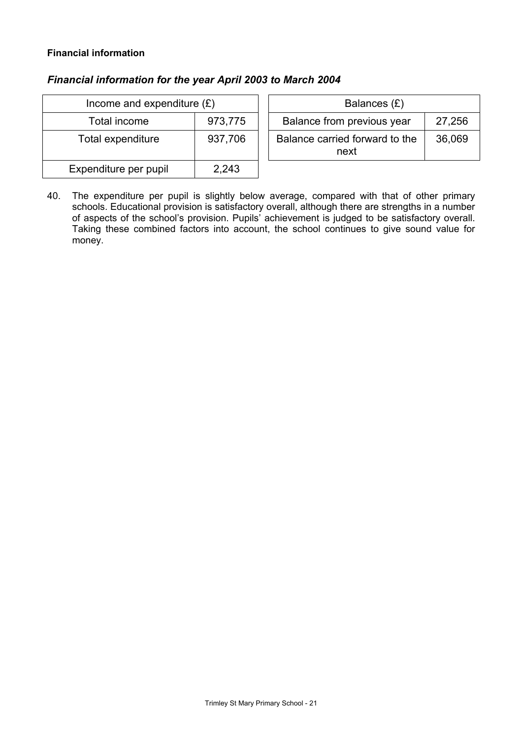# **Financial information**

# *Financial information for the year April 2003 to March 2004*

| Income and expenditure $(E)$ |         | Balances $(E)$                                   |
|------------------------------|---------|--------------------------------------------------|
| Total income                 | 973,775 | Balance from previous year<br>27,256             |
| Total expenditure            | 937,706 | Balance carried forward to the<br>36,069<br>next |
| Expenditure per pupil        | 2,243   |                                                  |

40. The expenditure per pupil is slightly below average, compared with that of other primary schools. Educational provision is satisfactory overall, although there are strengths in a number of aspects of the school's provision. Pupils' achievement is judged to be satisfactory overall. Taking these combined factors into account, the school continues to give sound value for money.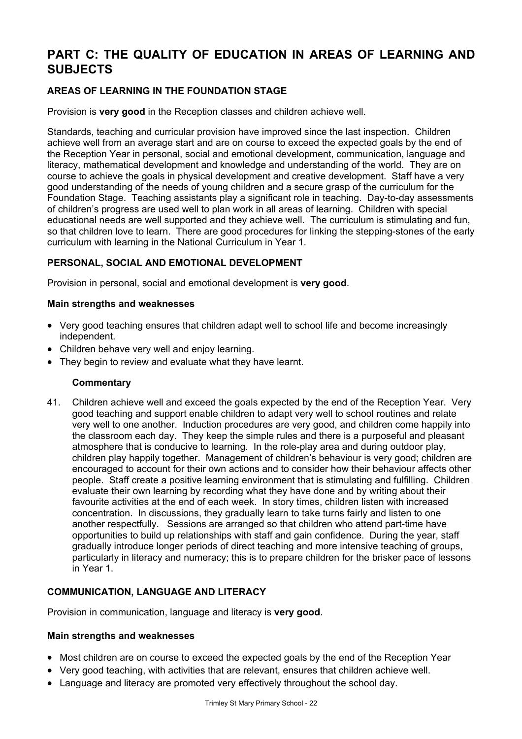# **PART C: THE QUALITY OF EDUCATION IN AREAS OF LEARNING AND SUBJECTS**

# **AREAS OF LEARNING IN THE FOUNDATION STAGE**

Provision is **very good** in the Reception classes and children achieve well.

Standards, teaching and curricular provision have improved since the last inspection. Children achieve well from an average start and are on course to exceed the expected goals by the end of the Reception Year in personal, social and emotional development, communication, language and literacy, mathematical development and knowledge and understanding of the world. They are on course to achieve the goals in physical development and creative development. Staff have a very good understanding of the needs of young children and a secure grasp of the curriculum for the Foundation Stage. Teaching assistants play a significant role in teaching. Day-to-day assessments of children's progress are used well to plan work in all areas of learning. Children with special educational needs are well supported and they achieve well. The curriculum is stimulating and fun, so that children love to learn. There are good procedures for linking the stepping-stones of the early curriculum with learning in the National Curriculum in Year 1.

# **PERSONAL, SOCIAL AND EMOTIONAL DEVELOPMENT**

Provision in personal, social and emotional development is **very good**.

#### **Main strengths and weaknesses**

- Very good teaching ensures that children adapt well to school life and become increasingly independent.
- Children behave very well and enjoy learning.
- They begin to review and evaluate what they have learnt.

#### **Commentary**

41. Children achieve well and exceed the goals expected by the end of the Reception Year. Very good teaching and support enable children to adapt very well to school routines and relate very well to one another. Induction procedures are very good, and children come happily into the classroom each day. They keep the simple rules and there is a purposeful and pleasant atmosphere that is conducive to learning. In the role-play area and during outdoor play, children play happily together. Management of children's behaviour is very good; children are encouraged to account for their own actions and to consider how their behaviour affects other people. Staff create a positive learning environment that is stimulating and fulfilling. Children evaluate their own learning by recording what they have done and by writing about their favourite activities at the end of each week. In story times, children listen with increased concentration. In discussions, they gradually learn to take turns fairly and listen to one another respectfully. Sessions are arranged so that children who attend part-time have opportunities to build up relationships with staff and gain confidence. During the year, staff gradually introduce longer periods of direct teaching and more intensive teaching of groups, particularly in literacy and numeracy; this is to prepare children for the brisker pace of lessons in Year 1.

#### **COMMUNICATION, LANGUAGE AND LITERACY**

Provision in communication, language and literacy is **very good**.

#### **Main strengths and weaknesses**

- Most children are on course to exceed the expected goals by the end of the Reception Year
- Very good teaching, with activities that are relevant, ensures that children achieve well.
- Language and literacy are promoted very effectively throughout the school day.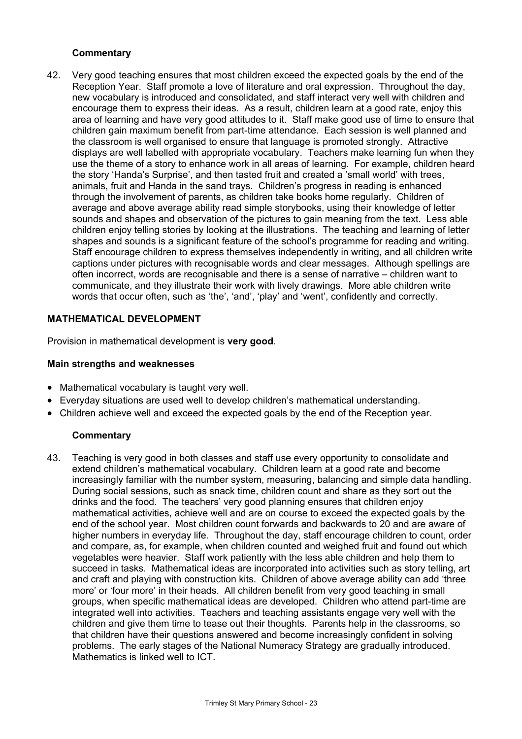## **Commentary**

42. Very good teaching ensures that most children exceed the expected goals by the end of the Reception Year. Staff promote a love of literature and oral expression. Throughout the day, new vocabulary is introduced and consolidated, and staff interact very well with children and encourage them to express their ideas. As a result, children learn at a good rate, enjoy this area of learning and have very good attitudes to it. Staff make good use of time to ensure that children gain maximum benefit from part-time attendance. Each session is well planned and the classroom is well organised to ensure that language is promoted strongly. Attractive displays are well labelled with appropriate vocabulary. Teachers make learning fun when they use the theme of a story to enhance work in all areas of learning. For example, children heard the story 'Handa's Surprise', and then tasted fruit and created a 'small world' with trees, animals, fruit and Handa in the sand trays. Children's progress in reading is enhanced through the involvement of parents, as children take books home regularly. Children of average and above average ability read simple storybooks, using their knowledge of letter sounds and shapes and observation of the pictures to gain meaning from the text. Less able children enjoy telling stories by looking at the illustrations. The teaching and learning of letter shapes and sounds is a significant feature of the school's programme for reading and writing. Staff encourage children to express themselves independently in writing, and all children write captions under pictures with recognisable words and clear messages. Although spellings are often incorrect, words are recognisable and there is a sense of narrative – children want to communicate, and they illustrate their work with lively drawings. More able children write words that occur often, such as 'the', 'and', 'play' and 'went', confidently and correctly.

#### **MATHEMATICAL DEVELOPMENT**

Provision in mathematical development is **very good**.

#### **Main strengths and weaknesses**

- Mathematical vocabulary is taught very well.
- Everyday situations are used well to develop children's mathematical understanding.
- Children achieve well and exceed the expected goals by the end of the Reception year.

#### **Commentary**

43. Teaching is very good in both classes and staff use every opportunity to consolidate and extend children's mathematical vocabulary. Children learn at a good rate and become increasingly familiar with the number system, measuring, balancing and simple data handling. During social sessions, such as snack time, children count and share as they sort out the drinks and the food. The teachers' very good planning ensures that children enjoy mathematical activities, achieve well and are on course to exceed the expected goals by the end of the school year. Most children count forwards and backwards to 20 and are aware of higher numbers in everyday life. Throughout the day, staff encourage children to count, order and compare, as, for example, when children counted and weighed fruit and found out which vegetables were heavier. Staff work patiently with the less able children and help them to succeed in tasks. Mathematical ideas are incorporated into activities such as story telling, art and craft and playing with construction kits. Children of above average ability can add 'three more' or 'four more' in their heads. All children benefit from very good teaching in small groups, when specific mathematical ideas are developed. Children who attend part-time are integrated well into activities. Teachers and teaching assistants engage very well with the children and give them time to tease out their thoughts. Parents help in the classrooms, so that children have their questions answered and become increasingly confident in solving problems. The early stages of the National Numeracy Strategy are gradually introduced. Mathematics is linked well to ICT.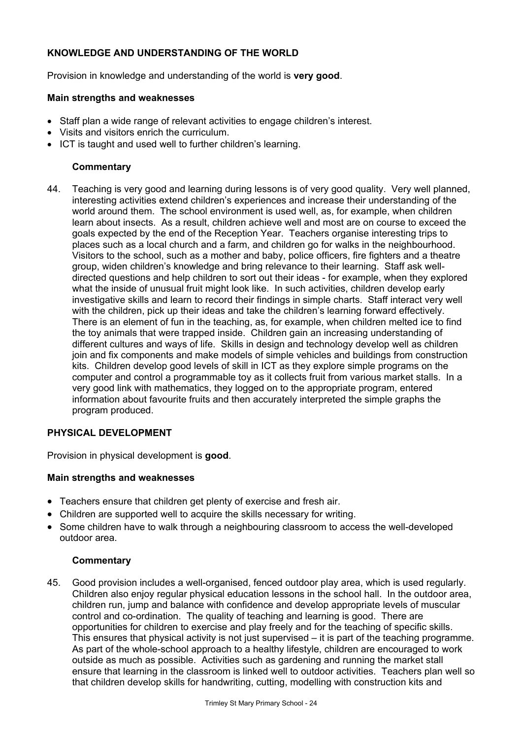# **KNOWLEDGE AND UNDERSTANDING OF THE WORLD**

Provision in knowledge and understanding of the world is **very good**.

#### **Main strengths and weaknesses**

- Staff plan a wide range of relevant activities to engage children's interest.
- Visits and visitors enrich the curriculum.
- ICT is taught and used well to further children's learning.

### **Commentary**

44. Teaching is very good and learning during lessons is of very good quality. Very well planned, interesting activities extend children's experiences and increase their understanding of the world around them. The school environment is used well, as, for example, when children learn about insects. As a result, children achieve well and most are on course to exceed the goals expected by the end of the Reception Year. Teachers organise interesting trips to places such as a local church and a farm, and children go for walks in the neighbourhood. Visitors to the school, such as a mother and baby, police officers, fire fighters and a theatre group, widen children's knowledge and bring relevance to their learning. Staff ask welldirected questions and help children to sort out their ideas - for example, when they explored what the inside of unusual fruit might look like. In such activities, children develop early investigative skills and learn to record their findings in simple charts. Staff interact very well with the children, pick up their ideas and take the children's learning forward effectively. There is an element of fun in the teaching, as, for example, when children melted ice to find the toy animals that were trapped inside. Children gain an increasing understanding of different cultures and ways of life. Skills in design and technology develop well as children join and fix components and make models of simple vehicles and buildings from construction kits. Children develop good levels of skill in ICT as they explore simple programs on the computer and control a programmable toy as it collects fruit from various market stalls. In a very good link with mathematics, they logged on to the appropriate program, entered information about favourite fruits and then accurately interpreted the simple graphs the program produced.

#### **PHYSICAL DEVELOPMENT**

Provision in physical development is **good**.

#### **Main strengths and weaknesses**

- Teachers ensure that children get plenty of exercise and fresh air.
- Children are supported well to acquire the skills necessary for writing.
- Some children have to walk through a neighbouring classroom to access the well-developed outdoor area.

#### **Commentary**

45. Good provision includes a well-organised, fenced outdoor play area, which is used regularly. Children also enjoy regular physical education lessons in the school hall. In the outdoor area, children run, jump and balance with confidence and develop appropriate levels of muscular control and co-ordination. The quality of teaching and learning is good. There are opportunities for children to exercise and play freely and for the teaching of specific skills. This ensures that physical activity is not just supervised – it is part of the teaching programme. As part of the whole-school approach to a healthy lifestyle, children are encouraged to work outside as much as possible. Activities such as gardening and running the market stall ensure that learning in the classroom is linked well to outdoor activities. Teachers plan well so that children develop skills for handwriting, cutting, modelling with construction kits and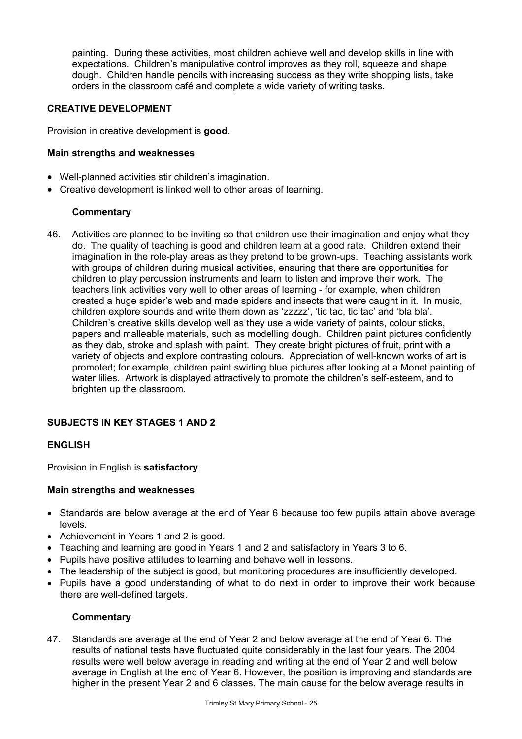painting. During these activities, most children achieve well and develop skills in line with expectations. Children's manipulative control improves as they roll, squeeze and shape dough. Children handle pencils with increasing success as they write shopping lists, take orders in the classroom café and complete a wide variety of writing tasks.

### **CREATIVE DEVELOPMENT**

Provision in creative development is **good**.

### **Main strengths and weaknesses**

- Well-planned activities stir children's imagination.
- Creative development is linked well to other areas of learning.

# **Commentary**

46. Activities are planned to be inviting so that children use their imagination and enjoy what they do. The quality of teaching is good and children learn at a good rate. Children extend their imagination in the role-play areas as they pretend to be grown-ups. Teaching assistants work with groups of children during musical activities, ensuring that there are opportunities for children to play percussion instruments and learn to listen and improve their work. The teachers link activities very well to other areas of learning - for example, when children created a huge spider's web and made spiders and insects that were caught in it. In music, children explore sounds and write them down as 'zzzzz', 'tic tac, tic tac' and 'bla bla'. Children's creative skills develop well as they use a wide variety of paints, colour sticks, papers and malleable materials, such as modelling dough. Children paint pictures confidently as they dab, stroke and splash with paint. They create bright pictures of fruit, print with a variety of objects and explore contrasting colours. Appreciation of well-known works of art is promoted; for example, children paint swirling blue pictures after looking at a Monet painting of water lilies. Artwork is displayed attractively to promote the children's self-esteem, and to brighten up the classroom.

# **SUBJECTS IN KEY STAGES 1 AND 2**

#### **ENGLISH**

Provision in English is **satisfactory**.

#### **Main strengths and weaknesses**

- Standards are below average at the end of Year 6 because too few pupils attain above average levels.
- Achievement in Years 1 and 2 is good.
- Teaching and learning are good in Years 1 and 2 and satisfactory in Years 3 to 6.
- Pupils have positive attitudes to learning and behave well in lessons.
- The leadership of the subject is good, but monitoring procedures are insufficiently developed.
- Pupils have a good understanding of what to do next in order to improve their work because there are well-defined targets.

#### **Commentary**

47. Standards are average at the end of Year 2 and below average at the end of Year 6. The results of national tests have fluctuated quite considerably in the last four years. The 2004 results were well below average in reading and writing at the end of Year 2 and well below average in English at the end of Year 6. However, the position is improving and standards are higher in the present Year 2 and 6 classes. The main cause for the below average results in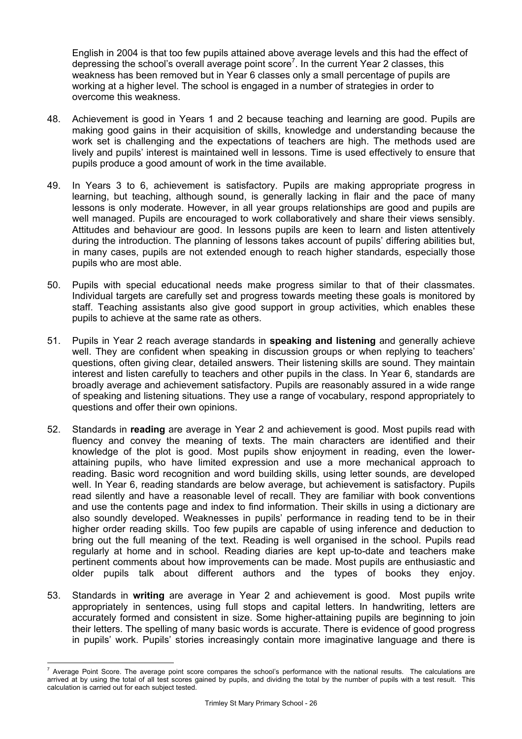English in 2004 is that too few pupils attained above average levels and this had the effect of depressing the school's overall average point score<sup>7</sup>. In the current Year 2 classes, this weakness has been removed but in Year 6 classes only a small percentage of pupils are working at a higher level. The school is engaged in a number of strategies in order to overcome this weakness.

- 48. Achievement is good in Years 1 and 2 because teaching and learning are good. Pupils are making good gains in their acquisition of skills, knowledge and understanding because the work set is challenging and the expectations of teachers are high. The methods used are lively and pupils' interest is maintained well in lessons. Time is used effectively to ensure that pupils produce a good amount of work in the time available.
- 49. In Years 3 to 6, achievement is satisfactory. Pupils are making appropriate progress in learning, but teaching, although sound, is generally lacking in flair and the pace of many lessons is only moderate. However, in all year groups relationships are good and pupils are well managed. Pupils are encouraged to work collaboratively and share their views sensibly. Attitudes and behaviour are good. In lessons pupils are keen to learn and listen attentively during the introduction. The planning of lessons takes account of pupils' differing abilities but, in many cases, pupils are not extended enough to reach higher standards, especially those pupils who are most able.
- 50. Pupils with special educational needs make progress similar to that of their classmates. Individual targets are carefully set and progress towards meeting these goals is monitored by staff. Teaching assistants also give good support in group activities, which enables these pupils to achieve at the same rate as others.
- 51. Pupils in Year 2 reach average standards in **speaking and listening** and generally achieve well. They are confident when speaking in discussion groups or when replying to teachers' questions, often giving clear, detailed answers. Their listening skills are sound. They maintain interest and listen carefully to teachers and other pupils in the class. In Year 6, standards are broadly average and achievement satisfactory. Pupils are reasonably assured in a wide range of speaking and listening situations. They use a range of vocabulary, respond appropriately to questions and offer their own opinions.
- 52. Standards in **reading** are average in Year 2 and achievement is good. Most pupils read with fluency and convey the meaning of texts. The main characters are identified and their knowledge of the plot is good. Most pupils show enjoyment in reading, even the lowerattaining pupils, who have limited expression and use a more mechanical approach to reading. Basic word recognition and word building skills, using letter sounds, are developed well. In Year 6, reading standards are below average, but achievement is satisfactory. Pupils read silently and have a reasonable level of recall. They are familiar with book conventions and use the contents page and index to find information. Their skills in using a dictionary are also soundly developed. Weaknesses in pupils' performance in reading tend to be in their higher order reading skills. Too few pupils are capable of using inference and deduction to bring out the full meaning of the text. Reading is well organised in the school. Pupils read regularly at home and in school. Reading diaries are kept up-to-date and teachers make pertinent comments about how improvements can be made. Most pupils are enthusiastic and older pupils talk about different authors and the types of books they enjoy.
- 53. Standards in **writing** are average in Year 2 and achievement is good. Most pupils write appropriately in sentences, using full stops and capital letters. In handwriting, letters are accurately formed and consistent in size. Some higher-attaining pupils are beginning to join their letters. The spelling of many basic words is accurate. There is evidence of good progress in pupils' work. Pupils' stories increasingly contain more imaginative language and there is

l

<sup>7</sup> Average Point Score. The average point score compares the school's performance with the national results. The calculations are arrived at by using the total of all test scores gained by pupils, and dividing the total by the number of pupils with a test result. This calculation is carried out for each subject tested.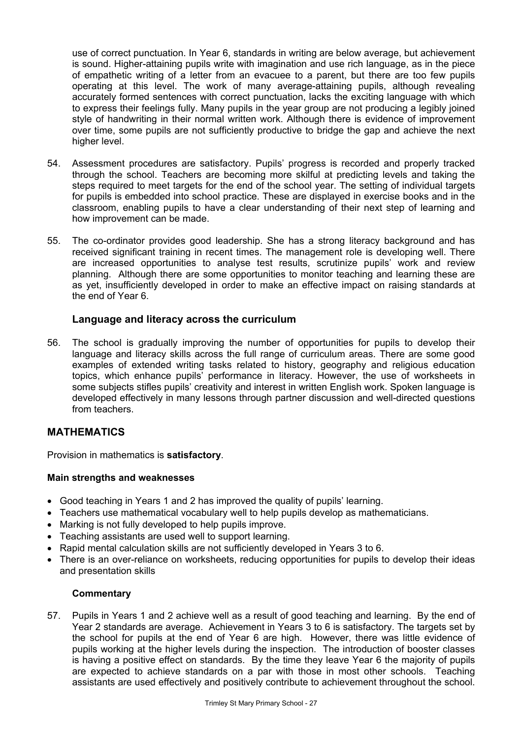use of correct punctuation. In Year 6, standards in writing are below average, but achievement is sound. Higher-attaining pupils write with imagination and use rich language, as in the piece of empathetic writing of a letter from an evacuee to a parent, but there are too few pupils operating at this level. The work of many average-attaining pupils, although revealing accurately formed sentences with correct punctuation, lacks the exciting language with which to express their feelings fully. Many pupils in the year group are not producing a legibly joined style of handwriting in their normal written work. Although there is evidence of improvement over time, some pupils are not sufficiently productive to bridge the gap and achieve the next higher level.

- 54. Assessment procedures are satisfactory. Pupils' progress is recorded and properly tracked through the school. Teachers are becoming more skilful at predicting levels and taking the steps required to meet targets for the end of the school year. The setting of individual targets for pupils is embedded into school practice. These are displayed in exercise books and in the classroom, enabling pupils to have a clear understanding of their next step of learning and how improvement can be made.
- 55. The co-ordinator provides good leadership. She has a strong literacy background and has received significant training in recent times. The management role is developing well. There are increased opportunities to analyse test results, scrutinize pupils' work and review planning. Although there are some opportunities to monitor teaching and learning these are as yet, insufficiently developed in order to make an effective impact on raising standards at the end of Year 6.

# **Language and literacy across the curriculum**

56. The school is gradually improving the number of opportunities for pupils to develop their language and literacy skills across the full range of curriculum areas. There are some good examples of extended writing tasks related to history, geography and religious education topics, which enhance pupils' performance in literacy. However, the use of worksheets in some subjects stifles pupils' creativity and interest in written English work. Spoken language is developed effectively in many lessons through partner discussion and well-directed questions from teachers.

# **MATHEMATICS**

Provision in mathematics is **satisfactory**.

# **Main strengths and weaknesses**

- Good teaching in Years 1 and 2 has improved the quality of pupils' learning.
- Teachers use mathematical vocabulary well to help pupils develop as mathematicians.
- Marking is not fully developed to help pupils improve.
- Teaching assistants are used well to support learning.
- Rapid mental calculation skills are not sufficiently developed in Years 3 to 6.
- There is an over-reliance on worksheets, reducing opportunities for pupils to develop their ideas and presentation skills

#### **Commentary**

57. Pupils in Years 1 and 2 achieve well as a result of good teaching and learning. By the end of Year 2 standards are average. Achievement in Years 3 to 6 is satisfactory. The targets set by the school for pupils at the end of Year 6 are high. However, there was little evidence of pupils working at the higher levels during the inspection. The introduction of booster classes is having a positive effect on standards. By the time they leave Year 6 the majority of pupils are expected to achieve standards on a par with those in most other schools. Teaching assistants are used effectively and positively contribute to achievement throughout the school.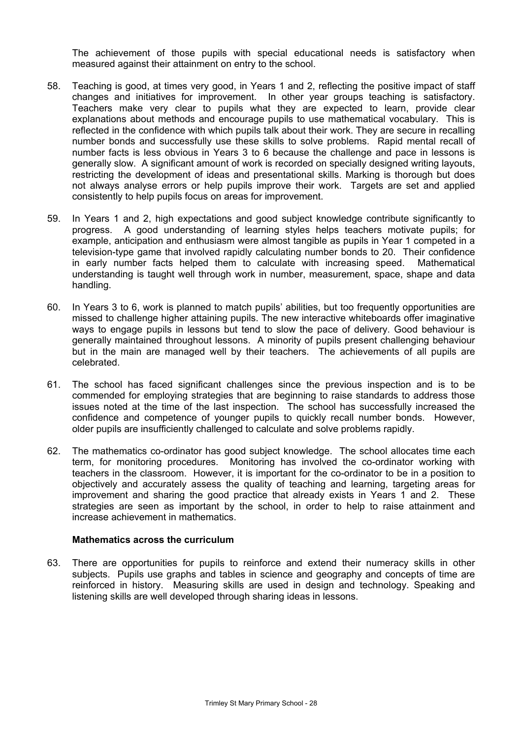The achievement of those pupils with special educational needs is satisfactory when measured against their attainment on entry to the school.

- 58. Teaching is good, at times very good, in Years 1 and 2, reflecting the positive impact of staff changes and initiatives for improvement. In other year groups teaching is satisfactory. Teachers make very clear to pupils what they are expected to learn, provide clear explanations about methods and encourage pupils to use mathematical vocabulary. This is reflected in the confidence with which pupils talk about their work. They are secure in recalling number bonds and successfully use these skills to solve problems. Rapid mental recall of number facts is less obvious in Years 3 to 6 because the challenge and pace in lessons is generally slow. A significant amount of work is recorded on specially designed writing layouts, restricting the development of ideas and presentational skills. Marking is thorough but does not always analyse errors or help pupils improve their work. Targets are set and applied consistently to help pupils focus on areas for improvement.
- 59. In Years 1 and 2, high expectations and good subject knowledge contribute significantly to progress. A good understanding of learning styles helps teachers motivate pupils; for example, anticipation and enthusiasm were almost tangible as pupils in Year 1 competed in a television-type game that involved rapidly calculating number bonds to 20. Their confidence in early number facts helped them to calculate with increasing speed. Mathematical understanding is taught well through work in number, measurement, space, shape and data handling.
- 60. In Years 3 to 6, work is planned to match pupils' abilities, but too frequently opportunities are missed to challenge higher attaining pupils. The new interactive whiteboards offer imaginative ways to engage pupils in lessons but tend to slow the pace of delivery. Good behaviour is generally maintained throughout lessons. A minority of pupils present challenging behaviour but in the main are managed well by their teachers. The achievements of all pupils are celebrated.
- 61. The school has faced significant challenges since the previous inspection and is to be commended for employing strategies that are beginning to raise standards to address those issues noted at the time of the last inspection. The school has successfully increased the confidence and competence of younger pupils to quickly recall number bonds. However, older pupils are insufficiently challenged to calculate and solve problems rapidly.
- 62. The mathematics co-ordinator has good subject knowledge. The school allocates time each term, for monitoring procedures. Monitoring has involved the co-ordinator working with teachers in the classroom. However, it is important for the co-ordinator to be in a position to objectively and accurately assess the quality of teaching and learning, targeting areas for improvement and sharing the good practice that already exists in Years 1 and 2. These strategies are seen as important by the school, in order to help to raise attainment and increase achievement in mathematics.

#### **Mathematics across the curriculum**

63. There are opportunities for pupils to reinforce and extend their numeracy skills in other subjects. Pupils use graphs and tables in science and geography and concepts of time are reinforced in history. Measuring skills are used in design and technology. Speaking and listening skills are well developed through sharing ideas in lessons.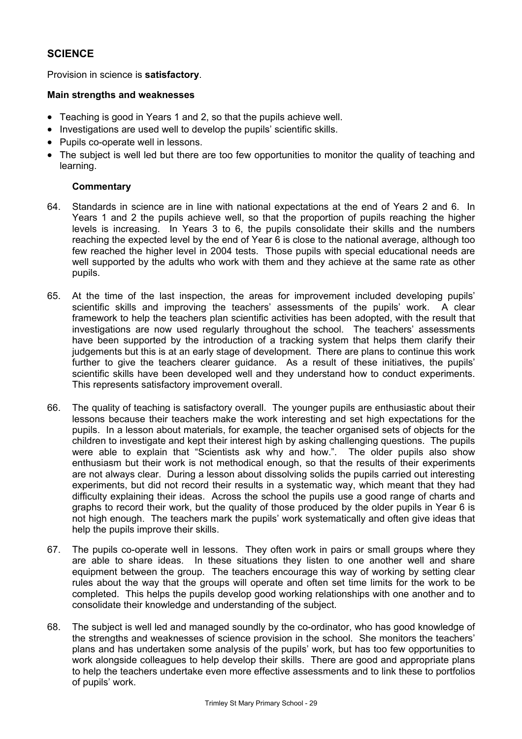# **SCIENCE**

Provision in science is **satisfactory**.

#### **Main strengths and weaknesses**

- Teaching is good in Years 1 and 2, so that the pupils achieve well.
- Investigations are used well to develop the pupils' scientific skills.
- Pupils co-operate well in lessons.
- The subject is well led but there are too few opportunities to monitor the quality of teaching and learning.

- 64. Standards in science are in line with national expectations at the end of Years 2 and 6. In Years 1 and 2 the pupils achieve well, so that the proportion of pupils reaching the higher levels is increasing. In Years 3 to 6, the pupils consolidate their skills and the numbers reaching the expected level by the end of Year 6 is close to the national average, although too few reached the higher level in 2004 tests. Those pupils with special educational needs are well supported by the adults who work with them and they achieve at the same rate as other pupils.
- 65. At the time of the last inspection, the areas for improvement included developing pupils' scientific skills and improving the teachers' assessments of the pupils' work. A clear framework to help the teachers plan scientific activities has been adopted, with the result that investigations are now used regularly throughout the school. The teachers' assessments have been supported by the introduction of a tracking system that helps them clarify their judgements but this is at an early stage of development. There are plans to continue this work further to give the teachers clearer guidance. As a result of these initiatives, the pupils' scientific skills have been developed well and they understand how to conduct experiments. This represents satisfactory improvement overall.
- 66. The quality of teaching is satisfactory overall. The younger pupils are enthusiastic about their lessons because their teachers make the work interesting and set high expectations for the pupils. In a lesson about materials, for example, the teacher organised sets of objects for the children to investigate and kept their interest high by asking challenging questions. The pupils were able to explain that "Scientists ask why and how.". The older pupils also show enthusiasm but their work is not methodical enough, so that the results of their experiments are not always clear. During a lesson about dissolving solids the pupils carried out interesting experiments, but did not record their results in a systematic way, which meant that they had difficulty explaining their ideas. Across the school the pupils use a good range of charts and graphs to record their work, but the quality of those produced by the older pupils in Year 6 is not high enough. The teachers mark the pupils' work systematically and often give ideas that help the pupils improve their skills.
- 67. The pupils co-operate well in lessons. They often work in pairs or small groups where they are able to share ideas. In these situations they listen to one another well and share equipment between the group. The teachers encourage this way of working by setting clear rules about the way that the groups will operate and often set time limits for the work to be completed. This helps the pupils develop good working relationships with one another and to consolidate their knowledge and understanding of the subject.
- 68. The subject is well led and managed soundly by the co-ordinator, who has good knowledge of the strengths and weaknesses of science provision in the school. She monitors the teachers' plans and has undertaken some analysis of the pupils' work, but has too few opportunities to work alongside colleagues to help develop their skills. There are good and appropriate plans to help the teachers undertake even more effective assessments and to link these to portfolios of pupils' work.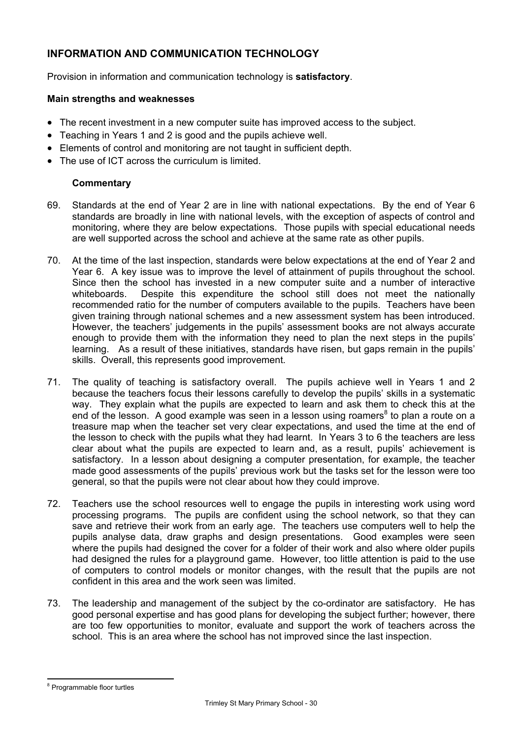# **INFORMATION AND COMMUNICATION TECHNOLOGY**

Provision in information and communication technology is **satisfactory**.

#### **Main strengths and weaknesses**

- The recent investment in a new computer suite has improved access to the subject.
- Teaching in Years 1 and 2 is good and the pupils achieve well.
- Elements of control and monitoring are not taught in sufficient depth.
- The use of ICT across the curriculum is limited.

- 69. Standards at the end of Year 2 are in line with national expectations. By the end of Year 6 standards are broadly in line with national levels, with the exception of aspects of control and monitoring, where they are below expectations. Those pupils with special educational needs are well supported across the school and achieve at the same rate as other pupils.
- 70. At the time of the last inspection, standards were below expectations at the end of Year 2 and Year 6. A key issue was to improve the level of attainment of pupils throughout the school. Since then the school has invested in a new computer suite and a number of interactive whiteboards. Despite this expenditure the school still does not meet the nationally recommended ratio for the number of computers available to the pupils. Teachers have been given training through national schemes and a new assessment system has been introduced. However, the teachers' judgements in the pupils' assessment books are not always accurate enough to provide them with the information they need to plan the next steps in the pupils' learning. As a result of these initiatives, standards have risen, but gaps remain in the pupils' skills. Overall, this represents good improvement.
- 71. The quality of teaching is satisfactory overall. The pupils achieve well in Years 1 and 2 because the teachers focus their lessons carefully to develop the pupils' skills in a systematic way. They explain what the pupils are expected to learn and ask them to check this at the end of the lesson. A good example was seen in a lesson using roamers<sup>8</sup> to plan a route on a treasure map when the teacher set very clear expectations, and used the time at the end of the lesson to check with the pupils what they had learnt. In Years 3 to 6 the teachers are less clear about what the pupils are expected to learn and, as a result, pupils' achievement is satisfactory. In a lesson about designing a computer presentation, for example, the teacher made good assessments of the pupils' previous work but the tasks set for the lesson were too general, so that the pupils were not clear about how they could improve.
- 72. Teachers use the school resources well to engage the pupils in interesting work using word processing programs. The pupils are confident using the school network, so that they can save and retrieve their work from an early age. The teachers use computers well to help the pupils analyse data, draw graphs and design presentations. Good examples were seen where the pupils had designed the cover for a folder of their work and also where older pupils had designed the rules for a playground game. However, too little attention is paid to the use of computers to control models or monitor changes, with the result that the pupils are not confident in this area and the work seen was limited.
- 73. The leadership and management of the subject by the co-ordinator are satisfactory. He has good personal expertise and has good plans for developing the subject further; however, there are too few opportunities to monitor, evaluate and support the work of teachers across the school. This is an area where the school has not improved since the last inspection.

l <sup>8</sup> Programmable floor turtles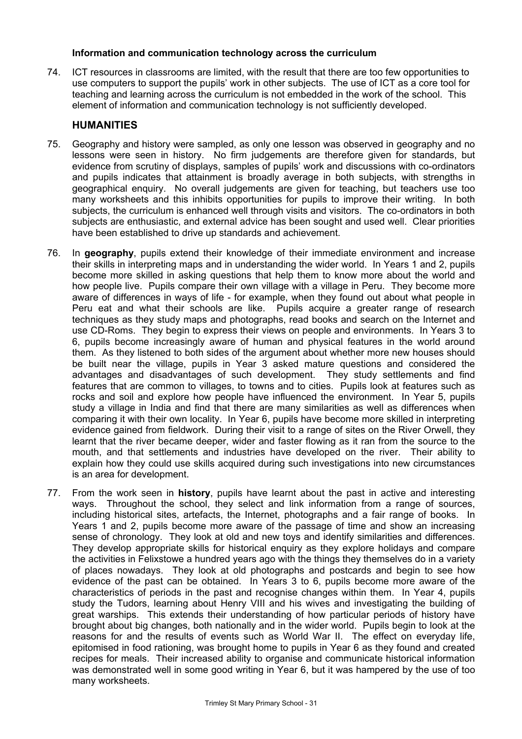#### **Information and communication technology across the curriculum**

74. ICT resources in classrooms are limited, with the result that there are too few opportunities to use computers to support the pupils' work in other subjects. The use of ICT as a core tool for teaching and learning across the curriculum is not embedded in the work of the school. This element of information and communication technology is not sufficiently developed.

#### **HUMANITIES**

- 75. Geography and history were sampled, as only one lesson was observed in geography and no lessons were seen in history. No firm judgements are therefore given for standards, but evidence from scrutiny of displays, samples of pupils' work and discussions with co-ordinators and pupils indicates that attainment is broadly average in both subjects, with strengths in geographical enquiry. No overall judgements are given for teaching, but teachers use too many worksheets and this inhibits opportunities for pupils to improve their writing. In both subjects, the curriculum is enhanced well through visits and visitors. The co-ordinators in both subjects are enthusiastic, and external advice has been sought and used well. Clear priorities have been established to drive up standards and achievement.
- 76. In **geography**, pupils extend their knowledge of their immediate environment and increase their skills in interpreting maps and in understanding the wider world. In Years 1 and 2, pupils become more skilled in asking questions that help them to know more about the world and how people live. Pupils compare their own village with a village in Peru. They become more aware of differences in ways of life - for example, when they found out about what people in Peru eat and what their schools are like. Pupils acquire a greater range of research techniques as they study maps and photographs, read books and search on the Internet and use CD-Roms. They begin to express their views on people and environments. In Years 3 to 6, pupils become increasingly aware of human and physical features in the world around them. As they listened to both sides of the argument about whether more new houses should be built near the village, pupils in Year 3 asked mature questions and considered the advantages and disadvantages of such development. They study settlements and find features that are common to villages, to towns and to cities. Pupils look at features such as rocks and soil and explore how people have influenced the environment. In Year 5, pupils study a village in India and find that there are many similarities as well as differences when comparing it with their own locality. In Year 6, pupils have become more skilled in interpreting evidence gained from fieldwork. During their visit to a range of sites on the River Orwell, they learnt that the river became deeper, wider and faster flowing as it ran from the source to the mouth, and that settlements and industries have developed on the river. Their ability to explain how they could use skills acquired during such investigations into new circumstances is an area for development.
- 77. From the work seen in **history**, pupils have learnt about the past in active and interesting ways. Throughout the school, they select and link information from a range of sources, including historical sites, artefacts, the Internet, photographs and a fair range of books. In Years 1 and 2, pupils become more aware of the passage of time and show an increasing sense of chronology. They look at old and new toys and identify similarities and differences. They develop appropriate skills for historical enquiry as they explore holidays and compare the activities in Felixstowe a hundred years ago with the things they themselves do in a variety of places nowadays. They look at old photographs and postcards and begin to see how evidence of the past can be obtained. In Years 3 to 6, pupils become more aware of the characteristics of periods in the past and recognise changes within them. In Year 4, pupils study the Tudors, learning about Henry VIII and his wives and investigating the building of great warships. This extends their understanding of how particular periods of history have brought about big changes, both nationally and in the wider world. Pupils begin to look at the reasons for and the results of events such as World War II. The effect on everyday life, epitomised in food rationing, was brought home to pupils in Year 6 as they found and created recipes for meals. Their increased ability to organise and communicate historical information was demonstrated well in some good writing in Year 6, but it was hampered by the use of too many worksheets.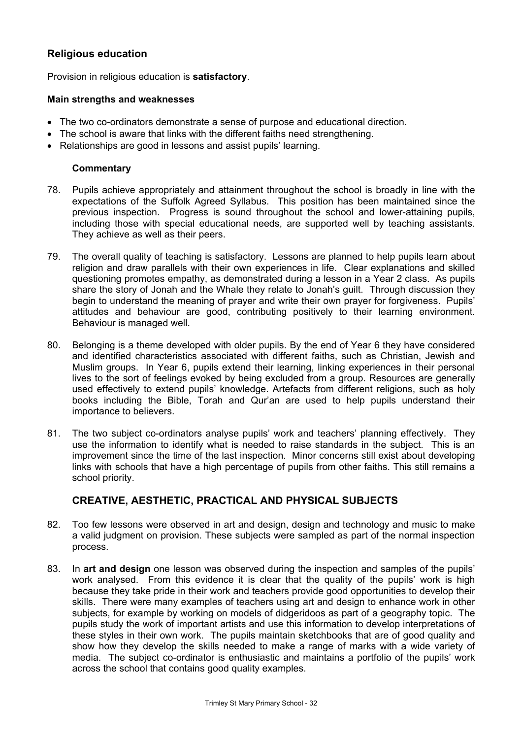# **Religious education**

Provision in religious education is **satisfactory**.

#### **Main strengths and weaknesses**

- The two co-ordinators demonstrate a sense of purpose and educational direction.
- The school is aware that links with the different faiths need strengthening.
- Relationships are good in lessons and assist pupils' learning.

#### **Commentary**

- 78. Pupils achieve appropriately and attainment throughout the school is broadly in line with the expectations of the Suffolk Agreed Syllabus.This position has been maintained since the previous inspection. Progress is sound throughout the school and lower-attaining pupils, including those with special educational needs, are supported well by teaching assistants. They achieve as well as their peers.
- 79. The overall quality of teaching is satisfactory. Lessons are planned to help pupils learn about religion and draw parallels with their own experiences in life. Clear explanations and skilled questioning promotes empathy, as demonstrated during a lesson in a Year 2 class. As pupils share the story of Jonah and the Whale they relate to Jonah's guilt. Through discussion they begin to understand the meaning of prayer and write their own prayer for forgiveness. Pupils' attitudes and behaviour are good, contributing positively to their learning environment. Behaviour is managed well.
- 80. Belonging is a theme developed with older pupils. By the end of Year 6 they have considered and identified characteristics associated with different faiths, such as Christian, Jewish and Muslim groups. In Year 6, pupils extend their learning, linking experiences in their personal lives to the sort of feelings evoked by being excluded from a group. Resources are generally used effectively to extend pupils' knowledge. Artefacts from different religions, such as holy books including the Bible, Torah and Qur'an are used to help pupils understand their importance to believers.
- 81. The two subject co-ordinators analyse pupils' work and teachers' planning effectively. They use the information to identify what is needed to raise standards in the subject. This is an improvement since the time of the last inspection. Minor concerns still exist about developing links with schools that have a high percentage of pupils from other faiths. This still remains a school priority.

# **CREATIVE, AESTHETIC, PRACTICAL AND PHYSICAL SUBJECTS**

- 82. Too few lessons were observed in art and design, design and technology and music to make a valid judgment on provision. These subjects were sampled as part of the normal inspection process.
- 83. In **art and design** one lesson was observed during the inspection and samples of the pupils' work analysed. From this evidence it is clear that the quality of the pupils' work is high because they take pride in their work and teachers provide good opportunities to develop their skills. There were many examples of teachers using art and design to enhance work in other subjects, for example by working on models of didgeridoos as part of a geography topic. The pupils study the work of important artists and use this information to develop interpretations of these styles in their own work. The pupils maintain sketchbooks that are of good quality and show how they develop the skills needed to make a range of marks with a wide variety of media. The subject co-ordinator is enthusiastic and maintains a portfolio of the pupils' work across the school that contains good quality examples.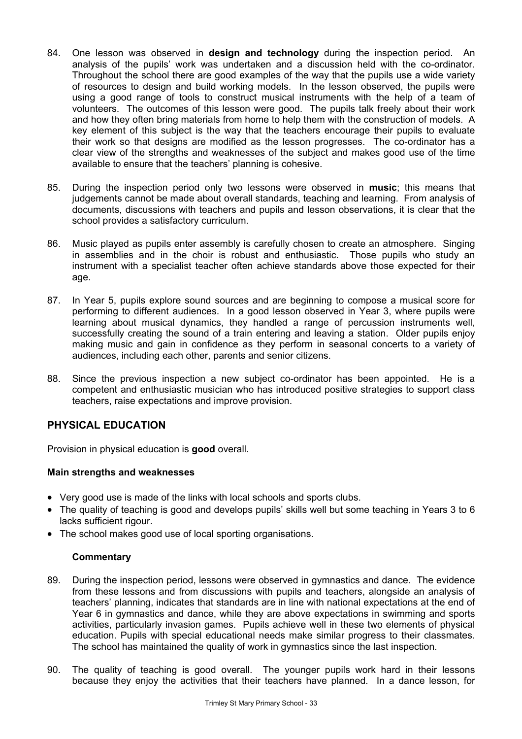- 84. One lesson was observed in **design and technology** during the inspection period. An analysis of the pupils' work was undertaken and a discussion held with the co-ordinator. Throughout the school there are good examples of the way that the pupils use a wide variety of resources to design and build working models. In the lesson observed, the pupils were using a good range of tools to construct musical instruments with the help of a team of volunteers. The outcomes of this lesson were good. The pupils talk freely about their work and how they often bring materials from home to help them with the construction of models. A key element of this subject is the way that the teachers encourage their pupils to evaluate their work so that designs are modified as the lesson progresses. The co-ordinator has a clear view of the strengths and weaknesses of the subject and makes good use of the time available to ensure that the teachers' planning is cohesive.
- 85. During the inspection period only two lessons were observed in **music**; this means that judgements cannot be made about overall standards, teaching and learning. From analysis of documents, discussions with teachers and pupils and lesson observations, it is clear that the school provides a satisfactory curriculum.
- 86. Music played as pupils enter assembly is carefully chosen to create an atmosphere. Singing in assemblies and in the choir is robust and enthusiastic. Those pupils who study an instrument with a specialist teacher often achieve standards above those expected for their age.
- 87. In Year 5, pupils explore sound sources and are beginning to compose a musical score for performing to different audiences. In a good lesson observed in Year 3, where pupils were learning about musical dynamics, they handled a range of percussion instruments well, successfully creating the sound of a train entering and leaving a station. Older pupils enjoy making music and gain in confidence as they perform in seasonal concerts to a variety of audiences, including each other, parents and senior citizens.
- 88. Since the previous inspection a new subject co-ordinator has been appointed. He is a competent and enthusiastic musician who has introduced positive strategies to support class teachers, raise expectations and improve provision.

# **PHYSICAL EDUCATION**

Provision in physical education is **good** overall.

#### **Main strengths and weaknesses**

- Very good use is made of the links with local schools and sports clubs.
- The quality of teaching is good and develops pupils' skills well but some teaching in Years 3 to 6 lacks sufficient rigour.
- The school makes good use of local sporting organisations.

- 89. During the inspection period, lessons were observed in gymnastics and dance. The evidence from these lessons and from discussions with pupils and teachers, alongside an analysis of teachers' planning, indicates that standards are in line with national expectations at the end of Year 6 in gymnastics and dance, while they are above expectations in swimming and sports activities, particularly invasion games. Pupils achieve well in these two elements of physical education. Pupils with special educational needs make similar progress to their classmates. The school has maintained the quality of work in gymnastics since the last inspection.
- 90. The quality of teaching is good overall. The younger pupils work hard in their lessons because they enjoy the activities that their teachers have planned. In a dance lesson, for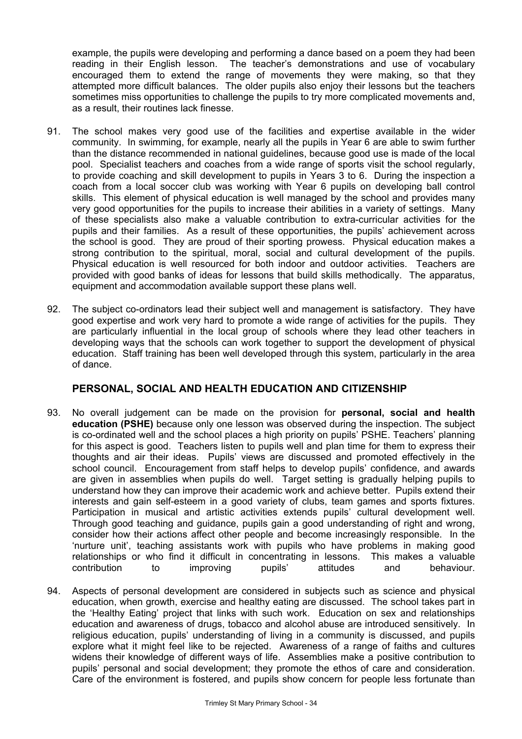example, the pupils were developing and performing a dance based on a poem they had been reading in their English lesson. The teacher's demonstrations and use of vocabulary encouraged them to extend the range of movements they were making, so that they attempted more difficult balances. The older pupils also enjoy their lessons but the teachers sometimes miss opportunities to challenge the pupils to try more complicated movements and, as a result, their routines lack finesse.

- 91. The school makes very good use of the facilities and expertise available in the wider community. In swimming, for example, nearly all the pupils in Year 6 are able to swim further than the distance recommended in national guidelines, because good use is made of the local pool. Specialist teachers and coaches from a wide range of sports visit the school regularly, to provide coaching and skill development to pupils in Years 3 to 6. During the inspection a coach from a local soccer club was working with Year 6 pupils on developing ball control skills. This element of physical education is well managed by the school and provides many very good opportunities for the pupils to increase their abilities in a variety of settings. Many of these specialists also make a valuable contribution to extra-curricular activities for the pupils and their families. As a result of these opportunities, the pupils' achievement across the school is good. They are proud of their sporting prowess. Physical education makes a strong contribution to the spiritual, moral, social and cultural development of the pupils. Physical education is well resourced for both indoor and outdoor activities. Teachers are provided with good banks of ideas for lessons that build skills methodically. The apparatus, equipment and accommodation available support these plans well.
- 92. The subject co-ordinators lead their subject well and management is satisfactory. They have good expertise and work very hard to promote a wide range of activities for the pupils. They are particularly influential in the local group of schools where they lead other teachers in developing ways that the schools can work together to support the development of physical education. Staff training has been well developed through this system, particularly in the area of dance.

# **PERSONAL, SOCIAL AND HEALTH EDUCATION AND CITIZENSHIP**

- 93. No overall judgement can be made on the provision for **personal, social and health education (PSHE)** because only one lesson was observed during the inspection. The subject is co-ordinated well and the school places a high priority on pupils' PSHE. Teachers' planning for this aspect is good. Teachers listen to pupils well and plan time for them to express their thoughts and air their ideas. Pupils' views are discussed and promoted effectively in the school council. Encouragement from staff helps to develop pupils' confidence, and awards are given in assemblies when pupils do well. Target setting is gradually helping pupils to understand how they can improve their academic work and achieve better. Pupils extend their interests and gain self-esteem in a good variety of clubs, team games and sports fixtures. Participation in musical and artistic activities extends pupils' cultural development well. Through good teaching and guidance, pupils gain a good understanding of right and wrong, consider how their actions affect other people and become increasingly responsible. In the 'nurture unit', teaching assistants work with pupils who have problems in making good relationships or who find it difficult in concentrating in lessons. This makes a valuable contribution to improving pupils' attitudes and behaviour.
- 94. Aspects of personal development are considered in subjects such as science and physical education, when growth, exercise and healthy eating are discussed. The school takes part in the 'Healthy Eating' project that links with such work. Education on sex and relationships education and awareness of drugs, tobacco and alcohol abuse are introduced sensitively. In religious education, pupils' understanding of living in a community is discussed, and pupils explore what it might feel like to be rejected. Awareness of a range of faiths and cultures widens their knowledge of different ways of life. Assemblies make a positive contribution to pupils' personal and social development; they promote the ethos of care and consideration. Care of the environment is fostered, and pupils show concern for people less fortunate than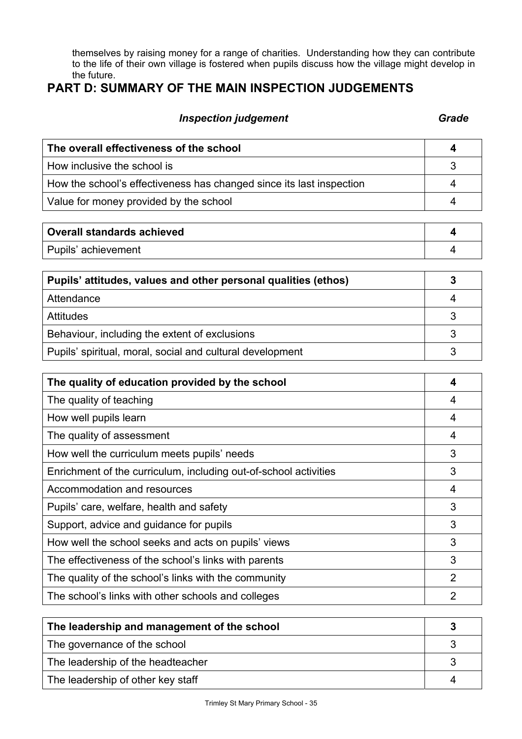themselves by raising money for a range of charities. Understanding how they can contribute to the life of their own village is fostered when pupils discuss how the village might develop in the future.

# **PART D: SUMMARY OF THE MAIN INSPECTION JUDGEMENTS**

# **Inspection judgement** Grade **Grade**

| The overall effectiveness of the school                              |  |  |
|----------------------------------------------------------------------|--|--|
| How inclusive the school is                                          |  |  |
| How the school's effectiveness has changed since its last inspection |  |  |
| Value for money provided by the school                               |  |  |
|                                                                      |  |  |

| <b>Overall standards achieved</b> |  |
|-----------------------------------|--|
| Pupils' achievement               |  |

| Pupils' attitudes, values and other personal qualities (ethos) |  |
|----------------------------------------------------------------|--|
| Attendance                                                     |  |
| <b>Attitudes</b>                                               |  |
| Behaviour, including the extent of exclusions                  |  |
| Pupils' spiritual, moral, social and cultural development      |  |

| The quality of education provided by the school                  |   |
|------------------------------------------------------------------|---|
| The quality of teaching                                          | 4 |
| How well pupils learn                                            | 4 |
| The quality of assessment                                        | 4 |
| How well the curriculum meets pupils' needs                      | 3 |
| Enrichment of the curriculum, including out-of-school activities | 3 |
| Accommodation and resources                                      | 4 |
| Pupils' care, welfare, health and safety                         | 3 |
| Support, advice and guidance for pupils                          | 3 |
| How well the school seeks and acts on pupils' views              | 3 |
| The effectiveness of the school's links with parents             | 3 |
| The quality of the school's links with the community             | 2 |
| The school's links with other schools and colleges               | 2 |

| The leadership and management of the school |  |
|---------------------------------------------|--|
| The governance of the school                |  |
| The leadership of the headteacher           |  |
| The leadership of other key staff           |  |